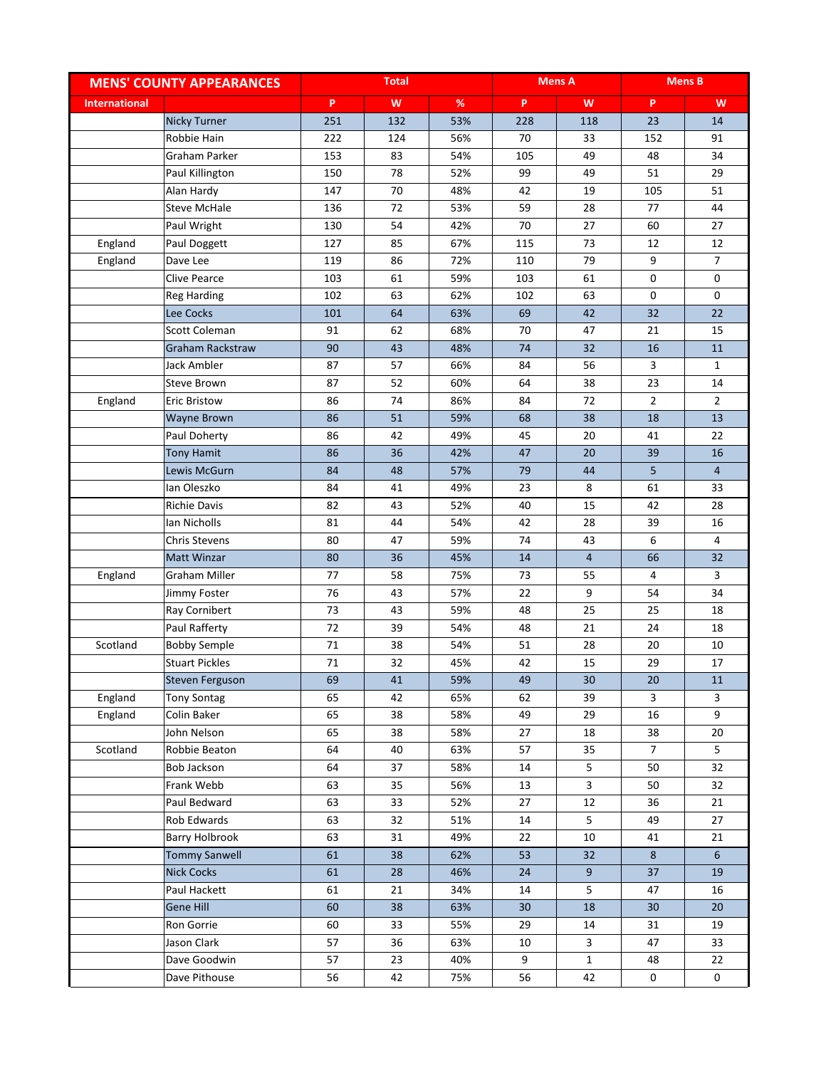| P<br>W<br>$\%$<br>P.<br>W<br>P<br>W<br><b>International</b><br>251<br>53%<br><b>Nicky Turner</b><br>132<br>228<br>118<br>23<br>14<br>Robbie Hain<br>222<br>124<br>56%<br>70<br>33<br>152<br>91<br>153<br>49<br>Graham Parker<br>83<br>54%<br>105<br>48<br>34<br>150<br>78<br>52%<br>99<br>49<br>51<br>29<br>Paul Killington<br>147<br>70<br>48%<br>19<br>105<br>51<br>Alan Hardy<br>42<br>59<br>136<br>72<br>53%<br>28<br>77<br>44<br><b>Steve McHale</b><br>130<br>54<br>42%<br>70<br>27<br>Paul Wright<br>27<br>60<br>England<br>Paul Doggett<br>127<br>85<br>67%<br>115<br>73<br>12<br>12<br>England<br>86<br>79<br>$\overline{7}$<br>Dave Lee<br>119<br>72%<br>110<br>9<br><b>Clive Pearce</b><br>103<br>61<br>59%<br>103<br>61<br>0<br>0<br>0<br>102<br>63<br>62%<br>63<br>0<br><b>Reg Harding</b><br>102<br>42<br>22<br>Lee Cocks<br>101<br>64<br>63%<br>69<br>32<br><b>Scott Coleman</b><br>15<br>91<br>62<br>68%<br>70<br>47<br>21<br>90<br>48%<br>Graham Rackstraw<br>43<br>74<br>32<br>16<br>11<br>Jack Ambler<br>87<br>66%<br>56<br>57<br>84<br>3<br>$\mathbf{1}$<br>52<br>87<br>60%<br>64<br>38<br>23<br>14<br><b>Steve Brown</b><br>74<br>72<br>$\overline{2}$<br>$\overline{2}$<br>86<br>86%<br>84<br>England<br><b>Eric Bristow</b><br>51<br>38<br>13<br>86<br>59%<br>68<br>18<br>Wayne Brown<br>Paul Doherty<br>86<br>42<br>49%<br>45<br>20<br>41<br>22<br><b>Tony Hamit</b><br>86<br>42%<br>47<br>16<br>36<br>20<br>39<br>Lewis McGurn<br>84<br>48<br>57%<br>79<br>44<br>5<br>$\overline{4}$<br>lan Oleszko<br>84<br>49%<br>23<br>8<br>33<br>41<br>61<br>82<br>43<br>52%<br>40<br>15<br>28<br><b>Richie Davis</b><br>42<br>lan Nicholls<br>81<br>44<br>54%<br>42<br>28<br>39<br>16<br>$\overline{4}$<br>80<br>47<br>59%<br>74<br>43<br>6<br><b>Chris Stevens</b><br>80<br>45%<br>$\overline{4}$<br>32<br><b>Matt Winzar</b><br>36<br>66<br>14<br>England<br>Graham Miller<br>77<br>58<br>75%<br>73<br>55<br>4<br>3<br>9<br>76<br>43<br>57%<br>22<br>54<br>34<br>Jimmy Foster<br>73<br>25<br>43<br>59%<br>48<br>25<br>Ray Cornibert<br>18<br>72<br>Paul Rafferty<br>39<br>54%<br>21<br>24<br>48<br>18<br>71<br><b>Bobby Semple</b><br>38<br>54%<br>51<br>28<br>Scotland<br>20<br>10<br><b>Stuart Pickles</b><br>71<br>32<br>45%<br>42<br>15<br>29<br>17<br>Steven Ferguson<br>69<br>41<br>59%<br>49<br>30<br>20<br>11<br>England<br>65<br>42<br>65%<br>3<br><b>Tony Sontag</b><br>62<br>39<br>3<br>9<br>65<br>38<br>49<br>29<br>England<br>Colin Baker<br>58%<br>16<br>65<br>John Nelson<br>38<br>58%<br>27<br>18<br>38<br>20<br>64<br>5<br>Scotland<br>40<br>57<br>35<br>$\overline{7}$<br>Robbie Beaton<br>63%<br>Bob Jackson<br>64<br>58%<br>5<br>32<br>37<br>14<br>50<br>Frank Webb<br>56%<br>3<br>32<br>63<br>35<br>13<br>50<br>Paul Bedward<br>63<br>33<br>52%<br>27<br>12<br>36<br>21<br>5<br>Rob Edwards<br>63<br>32<br>14<br>49<br>27<br>51%<br>Barry Holbrook<br>63<br>49%<br>22<br>10<br>31<br>41<br>21<br><b>Tommy Sanwell</b><br>38<br>6<br>61<br>62%<br>53<br>32<br>8<br><b>Nick Cocks</b><br>61<br>28<br>46%<br>24<br>9 <sup>°</sup><br>37<br>19<br>Paul Hackett<br>61<br>34%<br>5<br>16<br>21<br>14<br>47<br>Gene Hill<br>60<br>38<br>63%<br>30<br>18<br>30<br>20<br>Ron Gorrie<br>60<br>33<br>29<br>19<br>55%<br>14<br>31 | <b>MENS' COUNTY APPEARANCES</b> |    | <b>Total</b> |     |    | <b>Mens A</b>           |    | <b>Mens B</b> |
|------------------------------------------------------------------------------------------------------------------------------------------------------------------------------------------------------------------------------------------------------------------------------------------------------------------------------------------------------------------------------------------------------------------------------------------------------------------------------------------------------------------------------------------------------------------------------------------------------------------------------------------------------------------------------------------------------------------------------------------------------------------------------------------------------------------------------------------------------------------------------------------------------------------------------------------------------------------------------------------------------------------------------------------------------------------------------------------------------------------------------------------------------------------------------------------------------------------------------------------------------------------------------------------------------------------------------------------------------------------------------------------------------------------------------------------------------------------------------------------------------------------------------------------------------------------------------------------------------------------------------------------------------------------------------------------------------------------------------------------------------------------------------------------------------------------------------------------------------------------------------------------------------------------------------------------------------------------------------------------------------------------------------------------------------------------------------------------------------------------------------------------------------------------------------------------------------------------------------------------------------------------------------------------------------------------------------------------------------------------------------------------------------------------------------------------------------------------------------------------------------------------------------------------------------------------------------------------------------------------------------------------------------------------------------------------------------------------------------------------------------------------------------------------------------------------------------------------------------------------------------------------------------------------------------------------------------------------------------------------------------------------------------------------------------------------------------------------------------------------------------------------------------------------------------------------------------------------------------------------------------------|---------------------------------|----|--------------|-----|----|-------------------------|----|---------------|
|                                                                                                                                                                                                                                                                                                                                                                                                                                                                                                                                                                                                                                                                                                                                                                                                                                                                                                                                                                                                                                                                                                                                                                                                                                                                                                                                                                                                                                                                                                                                                                                                                                                                                                                                                                                                                                                                                                                                                                                                                                                                                                                                                                                                                                                                                                                                                                                                                                                                                                                                                                                                                                                                                                                                                                                                                                                                                                                                                                                                                                                                                                                                                                                                                                                            |                                 |    |              |     |    |                         |    |               |
|                                                                                                                                                                                                                                                                                                                                                                                                                                                                                                                                                                                                                                                                                                                                                                                                                                                                                                                                                                                                                                                                                                                                                                                                                                                                                                                                                                                                                                                                                                                                                                                                                                                                                                                                                                                                                                                                                                                                                                                                                                                                                                                                                                                                                                                                                                                                                                                                                                                                                                                                                                                                                                                                                                                                                                                                                                                                                                                                                                                                                                                                                                                                                                                                                                                            |                                 |    |              |     |    |                         |    |               |
|                                                                                                                                                                                                                                                                                                                                                                                                                                                                                                                                                                                                                                                                                                                                                                                                                                                                                                                                                                                                                                                                                                                                                                                                                                                                                                                                                                                                                                                                                                                                                                                                                                                                                                                                                                                                                                                                                                                                                                                                                                                                                                                                                                                                                                                                                                                                                                                                                                                                                                                                                                                                                                                                                                                                                                                                                                                                                                                                                                                                                                                                                                                                                                                                                                                            |                                 |    |              |     |    |                         |    |               |
|                                                                                                                                                                                                                                                                                                                                                                                                                                                                                                                                                                                                                                                                                                                                                                                                                                                                                                                                                                                                                                                                                                                                                                                                                                                                                                                                                                                                                                                                                                                                                                                                                                                                                                                                                                                                                                                                                                                                                                                                                                                                                                                                                                                                                                                                                                                                                                                                                                                                                                                                                                                                                                                                                                                                                                                                                                                                                                                                                                                                                                                                                                                                                                                                                                                            |                                 |    |              |     |    |                         |    |               |
|                                                                                                                                                                                                                                                                                                                                                                                                                                                                                                                                                                                                                                                                                                                                                                                                                                                                                                                                                                                                                                                                                                                                                                                                                                                                                                                                                                                                                                                                                                                                                                                                                                                                                                                                                                                                                                                                                                                                                                                                                                                                                                                                                                                                                                                                                                                                                                                                                                                                                                                                                                                                                                                                                                                                                                                                                                                                                                                                                                                                                                                                                                                                                                                                                                                            |                                 |    |              |     |    |                         |    |               |
|                                                                                                                                                                                                                                                                                                                                                                                                                                                                                                                                                                                                                                                                                                                                                                                                                                                                                                                                                                                                                                                                                                                                                                                                                                                                                                                                                                                                                                                                                                                                                                                                                                                                                                                                                                                                                                                                                                                                                                                                                                                                                                                                                                                                                                                                                                                                                                                                                                                                                                                                                                                                                                                                                                                                                                                                                                                                                                                                                                                                                                                                                                                                                                                                                                                            |                                 |    |              |     |    |                         |    |               |
|                                                                                                                                                                                                                                                                                                                                                                                                                                                                                                                                                                                                                                                                                                                                                                                                                                                                                                                                                                                                                                                                                                                                                                                                                                                                                                                                                                                                                                                                                                                                                                                                                                                                                                                                                                                                                                                                                                                                                                                                                                                                                                                                                                                                                                                                                                                                                                                                                                                                                                                                                                                                                                                                                                                                                                                                                                                                                                                                                                                                                                                                                                                                                                                                                                                            |                                 |    |              |     |    |                         |    |               |
|                                                                                                                                                                                                                                                                                                                                                                                                                                                                                                                                                                                                                                                                                                                                                                                                                                                                                                                                                                                                                                                                                                                                                                                                                                                                                                                                                                                                                                                                                                                                                                                                                                                                                                                                                                                                                                                                                                                                                                                                                                                                                                                                                                                                                                                                                                                                                                                                                                                                                                                                                                                                                                                                                                                                                                                                                                                                                                                                                                                                                                                                                                                                                                                                                                                            |                                 |    |              |     |    |                         |    |               |
|                                                                                                                                                                                                                                                                                                                                                                                                                                                                                                                                                                                                                                                                                                                                                                                                                                                                                                                                                                                                                                                                                                                                                                                                                                                                                                                                                                                                                                                                                                                                                                                                                                                                                                                                                                                                                                                                                                                                                                                                                                                                                                                                                                                                                                                                                                                                                                                                                                                                                                                                                                                                                                                                                                                                                                                                                                                                                                                                                                                                                                                                                                                                                                                                                                                            |                                 |    |              |     |    |                         |    |               |
|                                                                                                                                                                                                                                                                                                                                                                                                                                                                                                                                                                                                                                                                                                                                                                                                                                                                                                                                                                                                                                                                                                                                                                                                                                                                                                                                                                                                                                                                                                                                                                                                                                                                                                                                                                                                                                                                                                                                                                                                                                                                                                                                                                                                                                                                                                                                                                                                                                                                                                                                                                                                                                                                                                                                                                                                                                                                                                                                                                                                                                                                                                                                                                                                                                                            |                                 |    |              |     |    |                         |    |               |
|                                                                                                                                                                                                                                                                                                                                                                                                                                                                                                                                                                                                                                                                                                                                                                                                                                                                                                                                                                                                                                                                                                                                                                                                                                                                                                                                                                                                                                                                                                                                                                                                                                                                                                                                                                                                                                                                                                                                                                                                                                                                                                                                                                                                                                                                                                                                                                                                                                                                                                                                                                                                                                                                                                                                                                                                                                                                                                                                                                                                                                                                                                                                                                                                                                                            |                                 |    |              |     |    |                         |    |               |
|                                                                                                                                                                                                                                                                                                                                                                                                                                                                                                                                                                                                                                                                                                                                                                                                                                                                                                                                                                                                                                                                                                                                                                                                                                                                                                                                                                                                                                                                                                                                                                                                                                                                                                                                                                                                                                                                                                                                                                                                                                                                                                                                                                                                                                                                                                                                                                                                                                                                                                                                                                                                                                                                                                                                                                                                                                                                                                                                                                                                                                                                                                                                                                                                                                                            |                                 |    |              |     |    |                         |    |               |
|                                                                                                                                                                                                                                                                                                                                                                                                                                                                                                                                                                                                                                                                                                                                                                                                                                                                                                                                                                                                                                                                                                                                                                                                                                                                                                                                                                                                                                                                                                                                                                                                                                                                                                                                                                                                                                                                                                                                                                                                                                                                                                                                                                                                                                                                                                                                                                                                                                                                                                                                                                                                                                                                                                                                                                                                                                                                                                                                                                                                                                                                                                                                                                                                                                                            |                                 |    |              |     |    |                         |    |               |
|                                                                                                                                                                                                                                                                                                                                                                                                                                                                                                                                                                                                                                                                                                                                                                                                                                                                                                                                                                                                                                                                                                                                                                                                                                                                                                                                                                                                                                                                                                                                                                                                                                                                                                                                                                                                                                                                                                                                                                                                                                                                                                                                                                                                                                                                                                                                                                                                                                                                                                                                                                                                                                                                                                                                                                                                                                                                                                                                                                                                                                                                                                                                                                                                                                                            |                                 |    |              |     |    |                         |    |               |
|                                                                                                                                                                                                                                                                                                                                                                                                                                                                                                                                                                                                                                                                                                                                                                                                                                                                                                                                                                                                                                                                                                                                                                                                                                                                                                                                                                                                                                                                                                                                                                                                                                                                                                                                                                                                                                                                                                                                                                                                                                                                                                                                                                                                                                                                                                                                                                                                                                                                                                                                                                                                                                                                                                                                                                                                                                                                                                                                                                                                                                                                                                                                                                                                                                                            |                                 |    |              |     |    |                         |    |               |
|                                                                                                                                                                                                                                                                                                                                                                                                                                                                                                                                                                                                                                                                                                                                                                                                                                                                                                                                                                                                                                                                                                                                                                                                                                                                                                                                                                                                                                                                                                                                                                                                                                                                                                                                                                                                                                                                                                                                                                                                                                                                                                                                                                                                                                                                                                                                                                                                                                                                                                                                                                                                                                                                                                                                                                                                                                                                                                                                                                                                                                                                                                                                                                                                                                                            |                                 |    |              |     |    |                         |    |               |
|                                                                                                                                                                                                                                                                                                                                                                                                                                                                                                                                                                                                                                                                                                                                                                                                                                                                                                                                                                                                                                                                                                                                                                                                                                                                                                                                                                                                                                                                                                                                                                                                                                                                                                                                                                                                                                                                                                                                                                                                                                                                                                                                                                                                                                                                                                                                                                                                                                                                                                                                                                                                                                                                                                                                                                                                                                                                                                                                                                                                                                                                                                                                                                                                                                                            |                                 |    |              |     |    |                         |    |               |
|                                                                                                                                                                                                                                                                                                                                                                                                                                                                                                                                                                                                                                                                                                                                                                                                                                                                                                                                                                                                                                                                                                                                                                                                                                                                                                                                                                                                                                                                                                                                                                                                                                                                                                                                                                                                                                                                                                                                                                                                                                                                                                                                                                                                                                                                                                                                                                                                                                                                                                                                                                                                                                                                                                                                                                                                                                                                                                                                                                                                                                                                                                                                                                                                                                                            |                                 |    |              |     |    |                         |    |               |
|                                                                                                                                                                                                                                                                                                                                                                                                                                                                                                                                                                                                                                                                                                                                                                                                                                                                                                                                                                                                                                                                                                                                                                                                                                                                                                                                                                                                                                                                                                                                                                                                                                                                                                                                                                                                                                                                                                                                                                                                                                                                                                                                                                                                                                                                                                                                                                                                                                                                                                                                                                                                                                                                                                                                                                                                                                                                                                                                                                                                                                                                                                                                                                                                                                                            |                                 |    |              |     |    |                         |    |               |
|                                                                                                                                                                                                                                                                                                                                                                                                                                                                                                                                                                                                                                                                                                                                                                                                                                                                                                                                                                                                                                                                                                                                                                                                                                                                                                                                                                                                                                                                                                                                                                                                                                                                                                                                                                                                                                                                                                                                                                                                                                                                                                                                                                                                                                                                                                                                                                                                                                                                                                                                                                                                                                                                                                                                                                                                                                                                                                                                                                                                                                                                                                                                                                                                                                                            |                                 |    |              |     |    |                         |    |               |
|                                                                                                                                                                                                                                                                                                                                                                                                                                                                                                                                                                                                                                                                                                                                                                                                                                                                                                                                                                                                                                                                                                                                                                                                                                                                                                                                                                                                                                                                                                                                                                                                                                                                                                                                                                                                                                                                                                                                                                                                                                                                                                                                                                                                                                                                                                                                                                                                                                                                                                                                                                                                                                                                                                                                                                                                                                                                                                                                                                                                                                                                                                                                                                                                                                                            |                                 |    |              |     |    |                         |    |               |
|                                                                                                                                                                                                                                                                                                                                                                                                                                                                                                                                                                                                                                                                                                                                                                                                                                                                                                                                                                                                                                                                                                                                                                                                                                                                                                                                                                                                                                                                                                                                                                                                                                                                                                                                                                                                                                                                                                                                                                                                                                                                                                                                                                                                                                                                                                                                                                                                                                                                                                                                                                                                                                                                                                                                                                                                                                                                                                                                                                                                                                                                                                                                                                                                                                                            |                                 |    |              |     |    |                         |    |               |
|                                                                                                                                                                                                                                                                                                                                                                                                                                                                                                                                                                                                                                                                                                                                                                                                                                                                                                                                                                                                                                                                                                                                                                                                                                                                                                                                                                                                                                                                                                                                                                                                                                                                                                                                                                                                                                                                                                                                                                                                                                                                                                                                                                                                                                                                                                                                                                                                                                                                                                                                                                                                                                                                                                                                                                                                                                                                                                                                                                                                                                                                                                                                                                                                                                                            |                                 |    |              |     |    |                         |    |               |
|                                                                                                                                                                                                                                                                                                                                                                                                                                                                                                                                                                                                                                                                                                                                                                                                                                                                                                                                                                                                                                                                                                                                                                                                                                                                                                                                                                                                                                                                                                                                                                                                                                                                                                                                                                                                                                                                                                                                                                                                                                                                                                                                                                                                                                                                                                                                                                                                                                                                                                                                                                                                                                                                                                                                                                                                                                                                                                                                                                                                                                                                                                                                                                                                                                                            |                                 |    |              |     |    |                         |    |               |
|                                                                                                                                                                                                                                                                                                                                                                                                                                                                                                                                                                                                                                                                                                                                                                                                                                                                                                                                                                                                                                                                                                                                                                                                                                                                                                                                                                                                                                                                                                                                                                                                                                                                                                                                                                                                                                                                                                                                                                                                                                                                                                                                                                                                                                                                                                                                                                                                                                                                                                                                                                                                                                                                                                                                                                                                                                                                                                                                                                                                                                                                                                                                                                                                                                                            |                                 |    |              |     |    |                         |    |               |
|                                                                                                                                                                                                                                                                                                                                                                                                                                                                                                                                                                                                                                                                                                                                                                                                                                                                                                                                                                                                                                                                                                                                                                                                                                                                                                                                                                                                                                                                                                                                                                                                                                                                                                                                                                                                                                                                                                                                                                                                                                                                                                                                                                                                                                                                                                                                                                                                                                                                                                                                                                                                                                                                                                                                                                                                                                                                                                                                                                                                                                                                                                                                                                                                                                                            |                                 |    |              |     |    |                         |    |               |
|                                                                                                                                                                                                                                                                                                                                                                                                                                                                                                                                                                                                                                                                                                                                                                                                                                                                                                                                                                                                                                                                                                                                                                                                                                                                                                                                                                                                                                                                                                                                                                                                                                                                                                                                                                                                                                                                                                                                                                                                                                                                                                                                                                                                                                                                                                                                                                                                                                                                                                                                                                                                                                                                                                                                                                                                                                                                                                                                                                                                                                                                                                                                                                                                                                                            |                                 |    |              |     |    |                         |    |               |
|                                                                                                                                                                                                                                                                                                                                                                                                                                                                                                                                                                                                                                                                                                                                                                                                                                                                                                                                                                                                                                                                                                                                                                                                                                                                                                                                                                                                                                                                                                                                                                                                                                                                                                                                                                                                                                                                                                                                                                                                                                                                                                                                                                                                                                                                                                                                                                                                                                                                                                                                                                                                                                                                                                                                                                                                                                                                                                                                                                                                                                                                                                                                                                                                                                                            |                                 |    |              |     |    |                         |    |               |
|                                                                                                                                                                                                                                                                                                                                                                                                                                                                                                                                                                                                                                                                                                                                                                                                                                                                                                                                                                                                                                                                                                                                                                                                                                                                                                                                                                                                                                                                                                                                                                                                                                                                                                                                                                                                                                                                                                                                                                                                                                                                                                                                                                                                                                                                                                                                                                                                                                                                                                                                                                                                                                                                                                                                                                                                                                                                                                                                                                                                                                                                                                                                                                                                                                                            |                                 |    |              |     |    |                         |    |               |
|                                                                                                                                                                                                                                                                                                                                                                                                                                                                                                                                                                                                                                                                                                                                                                                                                                                                                                                                                                                                                                                                                                                                                                                                                                                                                                                                                                                                                                                                                                                                                                                                                                                                                                                                                                                                                                                                                                                                                                                                                                                                                                                                                                                                                                                                                                                                                                                                                                                                                                                                                                                                                                                                                                                                                                                                                                                                                                                                                                                                                                                                                                                                                                                                                                                            |                                 |    |              |     |    |                         |    |               |
|                                                                                                                                                                                                                                                                                                                                                                                                                                                                                                                                                                                                                                                                                                                                                                                                                                                                                                                                                                                                                                                                                                                                                                                                                                                                                                                                                                                                                                                                                                                                                                                                                                                                                                                                                                                                                                                                                                                                                                                                                                                                                                                                                                                                                                                                                                                                                                                                                                                                                                                                                                                                                                                                                                                                                                                                                                                                                                                                                                                                                                                                                                                                                                                                                                                            |                                 |    |              |     |    |                         |    |               |
|                                                                                                                                                                                                                                                                                                                                                                                                                                                                                                                                                                                                                                                                                                                                                                                                                                                                                                                                                                                                                                                                                                                                                                                                                                                                                                                                                                                                                                                                                                                                                                                                                                                                                                                                                                                                                                                                                                                                                                                                                                                                                                                                                                                                                                                                                                                                                                                                                                                                                                                                                                                                                                                                                                                                                                                                                                                                                                                                                                                                                                                                                                                                                                                                                                                            |                                 |    |              |     |    |                         |    |               |
|                                                                                                                                                                                                                                                                                                                                                                                                                                                                                                                                                                                                                                                                                                                                                                                                                                                                                                                                                                                                                                                                                                                                                                                                                                                                                                                                                                                                                                                                                                                                                                                                                                                                                                                                                                                                                                                                                                                                                                                                                                                                                                                                                                                                                                                                                                                                                                                                                                                                                                                                                                                                                                                                                                                                                                                                                                                                                                                                                                                                                                                                                                                                                                                                                                                            |                                 |    |              |     |    |                         |    |               |
|                                                                                                                                                                                                                                                                                                                                                                                                                                                                                                                                                                                                                                                                                                                                                                                                                                                                                                                                                                                                                                                                                                                                                                                                                                                                                                                                                                                                                                                                                                                                                                                                                                                                                                                                                                                                                                                                                                                                                                                                                                                                                                                                                                                                                                                                                                                                                                                                                                                                                                                                                                                                                                                                                                                                                                                                                                                                                                                                                                                                                                                                                                                                                                                                                                                            |                                 |    |              |     |    |                         |    |               |
|                                                                                                                                                                                                                                                                                                                                                                                                                                                                                                                                                                                                                                                                                                                                                                                                                                                                                                                                                                                                                                                                                                                                                                                                                                                                                                                                                                                                                                                                                                                                                                                                                                                                                                                                                                                                                                                                                                                                                                                                                                                                                                                                                                                                                                                                                                                                                                                                                                                                                                                                                                                                                                                                                                                                                                                                                                                                                                                                                                                                                                                                                                                                                                                                                                                            |                                 |    |              |     |    |                         |    |               |
|                                                                                                                                                                                                                                                                                                                                                                                                                                                                                                                                                                                                                                                                                                                                                                                                                                                                                                                                                                                                                                                                                                                                                                                                                                                                                                                                                                                                                                                                                                                                                                                                                                                                                                                                                                                                                                                                                                                                                                                                                                                                                                                                                                                                                                                                                                                                                                                                                                                                                                                                                                                                                                                                                                                                                                                                                                                                                                                                                                                                                                                                                                                                                                                                                                                            |                                 |    |              |     |    |                         |    |               |
|                                                                                                                                                                                                                                                                                                                                                                                                                                                                                                                                                                                                                                                                                                                                                                                                                                                                                                                                                                                                                                                                                                                                                                                                                                                                                                                                                                                                                                                                                                                                                                                                                                                                                                                                                                                                                                                                                                                                                                                                                                                                                                                                                                                                                                                                                                                                                                                                                                                                                                                                                                                                                                                                                                                                                                                                                                                                                                                                                                                                                                                                                                                                                                                                                                                            |                                 |    |              |     |    |                         |    |               |
|                                                                                                                                                                                                                                                                                                                                                                                                                                                                                                                                                                                                                                                                                                                                                                                                                                                                                                                                                                                                                                                                                                                                                                                                                                                                                                                                                                                                                                                                                                                                                                                                                                                                                                                                                                                                                                                                                                                                                                                                                                                                                                                                                                                                                                                                                                                                                                                                                                                                                                                                                                                                                                                                                                                                                                                                                                                                                                                                                                                                                                                                                                                                                                                                                                                            |                                 |    |              |     |    |                         |    |               |
|                                                                                                                                                                                                                                                                                                                                                                                                                                                                                                                                                                                                                                                                                                                                                                                                                                                                                                                                                                                                                                                                                                                                                                                                                                                                                                                                                                                                                                                                                                                                                                                                                                                                                                                                                                                                                                                                                                                                                                                                                                                                                                                                                                                                                                                                                                                                                                                                                                                                                                                                                                                                                                                                                                                                                                                                                                                                                                                                                                                                                                                                                                                                                                                                                                                            |                                 |    |              |     |    |                         |    |               |
|                                                                                                                                                                                                                                                                                                                                                                                                                                                                                                                                                                                                                                                                                                                                                                                                                                                                                                                                                                                                                                                                                                                                                                                                                                                                                                                                                                                                                                                                                                                                                                                                                                                                                                                                                                                                                                                                                                                                                                                                                                                                                                                                                                                                                                                                                                                                                                                                                                                                                                                                                                                                                                                                                                                                                                                                                                                                                                                                                                                                                                                                                                                                                                                                                                                            |                                 |    |              |     |    |                         |    |               |
|                                                                                                                                                                                                                                                                                                                                                                                                                                                                                                                                                                                                                                                                                                                                                                                                                                                                                                                                                                                                                                                                                                                                                                                                                                                                                                                                                                                                                                                                                                                                                                                                                                                                                                                                                                                                                                                                                                                                                                                                                                                                                                                                                                                                                                                                                                                                                                                                                                                                                                                                                                                                                                                                                                                                                                                                                                                                                                                                                                                                                                                                                                                                                                                                                                                            |                                 |    |              |     |    |                         |    |               |
|                                                                                                                                                                                                                                                                                                                                                                                                                                                                                                                                                                                                                                                                                                                                                                                                                                                                                                                                                                                                                                                                                                                                                                                                                                                                                                                                                                                                                                                                                                                                                                                                                                                                                                                                                                                                                                                                                                                                                                                                                                                                                                                                                                                                                                                                                                                                                                                                                                                                                                                                                                                                                                                                                                                                                                                                                                                                                                                                                                                                                                                                                                                                                                                                                                                            |                                 |    |              |     |    |                         |    |               |
|                                                                                                                                                                                                                                                                                                                                                                                                                                                                                                                                                                                                                                                                                                                                                                                                                                                                                                                                                                                                                                                                                                                                                                                                                                                                                                                                                                                                                                                                                                                                                                                                                                                                                                                                                                                                                                                                                                                                                                                                                                                                                                                                                                                                                                                                                                                                                                                                                                                                                                                                                                                                                                                                                                                                                                                                                                                                                                                                                                                                                                                                                                                                                                                                                                                            |                                 |    |              |     |    |                         |    |               |
|                                                                                                                                                                                                                                                                                                                                                                                                                                                                                                                                                                                                                                                                                                                                                                                                                                                                                                                                                                                                                                                                                                                                                                                                                                                                                                                                                                                                                                                                                                                                                                                                                                                                                                                                                                                                                                                                                                                                                                                                                                                                                                                                                                                                                                                                                                                                                                                                                                                                                                                                                                                                                                                                                                                                                                                                                                                                                                                                                                                                                                                                                                                                                                                                                                                            |                                 |    |              |     |    |                         |    |               |
|                                                                                                                                                                                                                                                                                                                                                                                                                                                                                                                                                                                                                                                                                                                                                                                                                                                                                                                                                                                                                                                                                                                                                                                                                                                                                                                                                                                                                                                                                                                                                                                                                                                                                                                                                                                                                                                                                                                                                                                                                                                                                                                                                                                                                                                                                                                                                                                                                                                                                                                                                                                                                                                                                                                                                                                                                                                                                                                                                                                                                                                                                                                                                                                                                                                            |                                 |    |              |     |    |                         |    |               |
|                                                                                                                                                                                                                                                                                                                                                                                                                                                                                                                                                                                                                                                                                                                                                                                                                                                                                                                                                                                                                                                                                                                                                                                                                                                                                                                                                                                                                                                                                                                                                                                                                                                                                                                                                                                                                                                                                                                                                                                                                                                                                                                                                                                                                                                                                                                                                                                                                                                                                                                                                                                                                                                                                                                                                                                                                                                                                                                                                                                                                                                                                                                                                                                                                                                            |                                 |    |              |     |    |                         |    |               |
|                                                                                                                                                                                                                                                                                                                                                                                                                                                                                                                                                                                                                                                                                                                                                                                                                                                                                                                                                                                                                                                                                                                                                                                                                                                                                                                                                                                                                                                                                                                                                                                                                                                                                                                                                                                                                                                                                                                                                                                                                                                                                                                                                                                                                                                                                                                                                                                                                                                                                                                                                                                                                                                                                                                                                                                                                                                                                                                                                                                                                                                                                                                                                                                                                                                            |                                 |    |              |     |    |                         |    |               |
|                                                                                                                                                                                                                                                                                                                                                                                                                                                                                                                                                                                                                                                                                                                                                                                                                                                                                                                                                                                                                                                                                                                                                                                                                                                                                                                                                                                                                                                                                                                                                                                                                                                                                                                                                                                                                                                                                                                                                                                                                                                                                                                                                                                                                                                                                                                                                                                                                                                                                                                                                                                                                                                                                                                                                                                                                                                                                                                                                                                                                                                                                                                                                                                                                                                            |                                 |    |              |     |    |                         |    |               |
|                                                                                                                                                                                                                                                                                                                                                                                                                                                                                                                                                                                                                                                                                                                                                                                                                                                                                                                                                                                                                                                                                                                                                                                                                                                                                                                                                                                                                                                                                                                                                                                                                                                                                                                                                                                                                                                                                                                                                                                                                                                                                                                                                                                                                                                                                                                                                                                                                                                                                                                                                                                                                                                                                                                                                                                                                                                                                                                                                                                                                                                                                                                                                                                                                                                            | Jason Clark                     | 57 | 36           | 63% | 10 | $\overline{\mathbf{3}}$ | 47 | 33            |
| $\mathbf{1}$<br>Dave Goodwin<br>57<br>23<br>40%<br>9<br>48<br>22                                                                                                                                                                                                                                                                                                                                                                                                                                                                                                                                                                                                                                                                                                                                                                                                                                                                                                                                                                                                                                                                                                                                                                                                                                                                                                                                                                                                                                                                                                                                                                                                                                                                                                                                                                                                                                                                                                                                                                                                                                                                                                                                                                                                                                                                                                                                                                                                                                                                                                                                                                                                                                                                                                                                                                                                                                                                                                                                                                                                                                                                                                                                                                                           |                                 |    |              |     |    |                         |    |               |
| 56<br>42<br>56<br>42<br>0<br>0<br>Dave Pithouse<br>75%                                                                                                                                                                                                                                                                                                                                                                                                                                                                                                                                                                                                                                                                                                                                                                                                                                                                                                                                                                                                                                                                                                                                                                                                                                                                                                                                                                                                                                                                                                                                                                                                                                                                                                                                                                                                                                                                                                                                                                                                                                                                                                                                                                                                                                                                                                                                                                                                                                                                                                                                                                                                                                                                                                                                                                                                                                                                                                                                                                                                                                                                                                                                                                                                     |                                 |    |              |     |    |                         |    |               |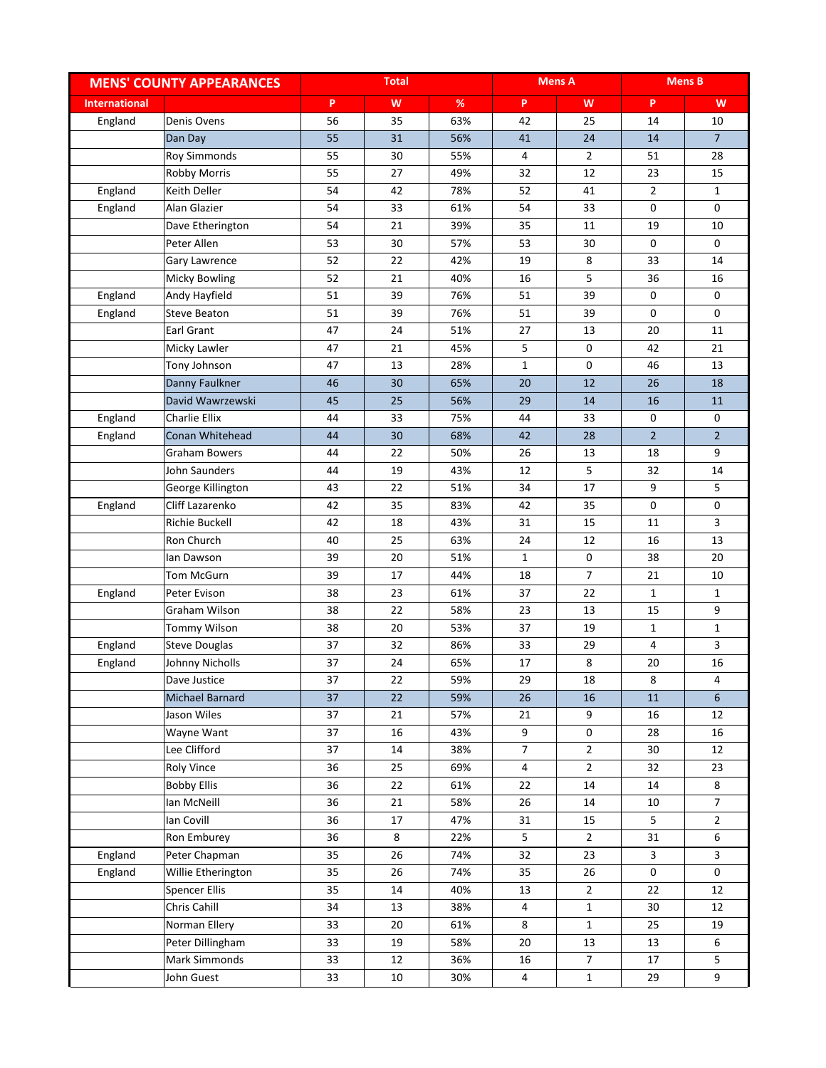|                      | <b>MENS' COUNTY APPEARANCES</b> |    | <b>Total</b> |      |                | <b>Mens A</b>  |                | <b>Mens B</b>  |
|----------------------|---------------------------------|----|--------------|------|----------------|----------------|----------------|----------------|
| <b>International</b> |                                 | P  | W            | $\%$ | P              | W              | P              | W              |
| England              | Denis Ovens                     | 56 | 35           | 63%  | 42             | 25             | 14             | 10             |
|                      | Dan Day                         | 55 | 31           | 56%  | 41             | 24             | 14             | $\overline{7}$ |
|                      | <b>Roy Simmonds</b>             | 55 | 30           | 55%  | 4              | $\overline{2}$ | 51             | 28             |
|                      | <b>Robby Morris</b>             | 55 | 27           | 49%  | 32             | 12             | 23             | 15             |
| England              | <b>Keith Deller</b>             | 54 | 42           | 78%  | 52             | 41             | $\overline{2}$ | $\mathbf{1}$   |
| England              | Alan Glazier                    | 54 | 33           | 61%  | 54             | 33             | 0              | 0              |
|                      | Dave Etherington                | 54 | 21           | 39%  | 35             | 11             | 19             | 10             |
|                      | Peter Allen                     | 53 | 30           | 57%  | 53             | 30             | 0              | 0              |
|                      | Gary Lawrence                   | 52 | 22           | 42%  | 19             | 8              | 33             | 14             |
|                      | <b>Micky Bowling</b>            | 52 | 21           | 40%  | 16             | 5              | 36             | 16             |
| England              | Andy Hayfield                   | 51 | 39           | 76%  | 51             | 39             | 0              | 0              |
| England              | <b>Steve Beaton</b>             | 51 | 39           | 76%  | 51             | 39             | 0              | 0              |
|                      | <b>Earl Grant</b>               | 47 | 24           | 51%  | 27             | 13             | 20             | 11             |
|                      | Micky Lawler                    | 47 | 21           | 45%  | 5              | 0              | 42             | 21             |
|                      | Tony Johnson                    | 47 | 13           | 28%  | $\mathbf{1}$   | 0              | 46             | 13             |
|                      | Danny Faulkner                  | 46 | 30           | 65%  | 20             | 12             | 26             | 18             |
|                      | David Wawrzewski                | 45 | 25           | 56%  | 29             | 14             | 16             | 11             |
| England              | Charlie Ellix                   | 44 | 33           | 75%  | 44             | 33             | 0              | 0              |
| England              | Conan Whitehead                 | 44 | 30           | 68%  | 42             | 28             | $\overline{2}$ | $\overline{2}$ |
|                      | Graham Bowers                   | 44 | 22           | 50%  | 26             | 13             | 18             | 9              |
|                      | John Saunders                   | 44 | 19           | 43%  | 12             | 5              | 32             | 14             |
|                      | George Killington               | 43 | 22           | 51%  | 34             | 17             | 9              | 5              |
| England              | Cliff Lazarenko                 | 42 | 35           | 83%  | 42             | 35             | 0              | 0              |
|                      | <b>Richie Buckell</b>           | 42 | 18           | 43%  | 31             | 15             | 11             | 3              |
|                      | Ron Church                      | 40 | 25           | 63%  | 24             | 12             | 16             | 13             |
|                      | lan Dawson                      | 39 | 20           | 51%  | $\mathbf{1}$   | $\pmb{0}$      | 38             | 20             |
|                      | Tom McGurn                      | 39 | 17           | 44%  | 18             | $\overline{7}$ | 21             | 10             |
| England              | Peter Evison                    | 38 | 23           | 61%  | 37             | 22             | $\mathbf{1}$   | $\mathbf{1}$   |
|                      | Graham Wilson                   | 38 | 22           | 58%  | 23             | 13             | 15             | 9              |
|                      | Tommy Wilson                    | 38 | 20           | 53%  | 37             | 19             | 1              | $\mathbf{1}$   |
| England              | <b>Steve Douglas</b>            | 37 | 32           | 86%  | 33             | 29             | 4              | 3              |
| England              | Johnny Nicholls                 | 37 | 24           | 65%  | 17             | 8              | 20             | 16             |
|                      | Dave Justice                    | 37 | 22           | 59%  | 29             | 18             | 8              | 4              |
|                      | Michael Barnard                 | 37 | 22           | 59%  | 26             | 16             | 11             | $6\phantom{a}$ |
|                      | Jason Wiles                     | 37 | 21           | 57%  | 21             | 9              | 16             | 12             |
|                      | Wayne Want                      | 37 | 16           | 43%  | 9              | 0              | 28             | 16             |
|                      | Lee Clifford                    | 37 | 14           | 38%  | $\overline{7}$ | $\overline{2}$ | 30             | 12             |
|                      | Roly Vince                      | 36 | 25           | 69%  | $\overline{4}$ | $2^{\circ}$    | 32             | 23             |
|                      | <b>Bobby Ellis</b>              | 36 | 22           | 61%  | 22             | 14             | 14             | 8              |
|                      | lan McNeill                     | 36 | 21           | 58%  | 26             | 14             | 10             | $\overline{7}$ |
|                      | lan Covill                      | 36 | 17           | 47%  | 31             | 15             | 5              | $\overline{2}$ |
|                      | Ron Emburey                     | 36 | 8            | 22%  | 5              | $2^{\circ}$    | 31             | 6              |
| England              | Peter Chapman                   | 35 | 26           | 74%  | 32             | 23             | 3              | 3              |
| England              | Willie Etherington              | 35 | 26           | 74%  | 35             | 26             | 0              | 0              |
|                      | <b>Spencer Ellis</b>            | 35 | 14           | 40%  | 13             | $\overline{2}$ | 22             | 12             |
|                      | Chris Cahill                    | 34 | 13           | 38%  | $\overline{4}$ | $\mathbf 1$    | 30             | 12             |
|                      | Norman Ellery                   | 33 | 20           | 61%  | 8              | $\mathbf{1}$   | 25             | 19             |
|                      | Peter Dillingham                | 33 | 19           | 58%  | 20             | 13             | 13             | 6              |
|                      | Mark Simmonds                   | 33 | 12           | 36%  | 16             | $\overline{7}$ | 17             | 5              |
|                      | John Guest                      | 33 | 10           | 30%  | $\overline{4}$ | $\mathbf{1}$   | 29             | 9              |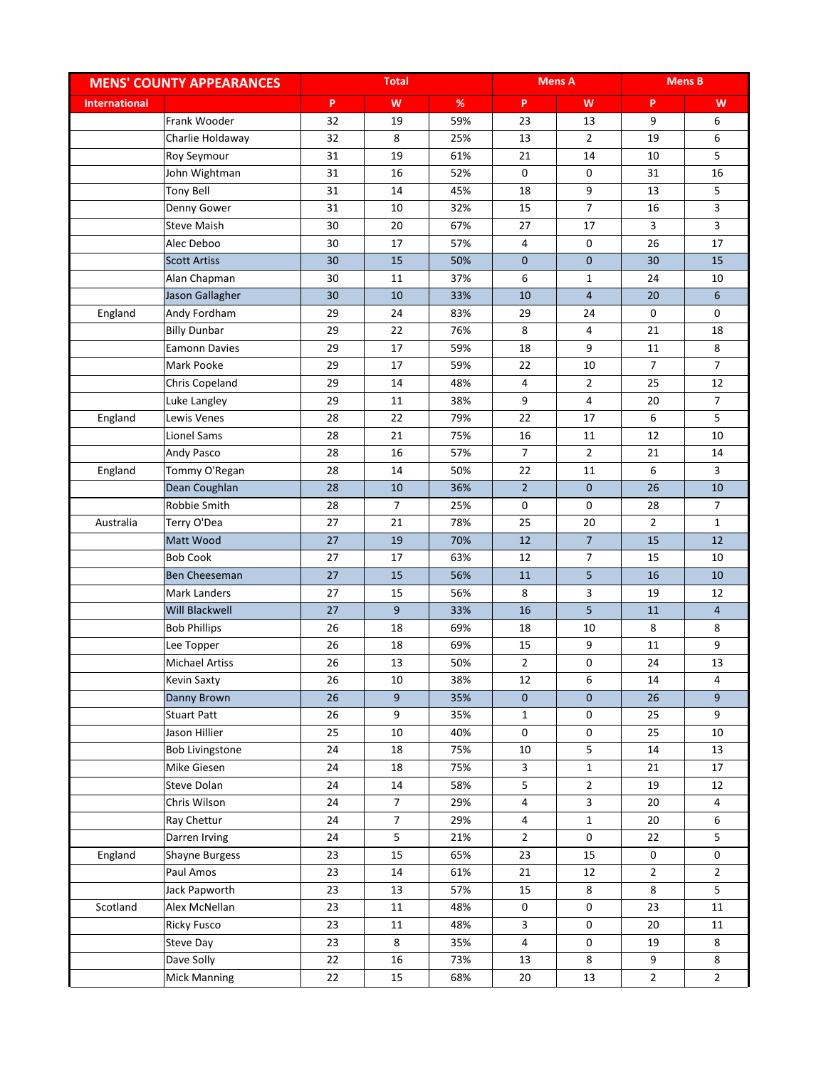|                      | <b>MENS' COUNTY APPEARANCES</b> |    | <b>Total</b>    |      |                | <b>Mens A</b>       |                | <b>Mens B</b>  |
|----------------------|---------------------------------|----|-----------------|------|----------------|---------------------|----------------|----------------|
| <b>International</b> |                                 | P  | W               | $\%$ | P              | W                   | P              | W              |
|                      | Frank Wooder                    | 32 | 19              | 59%  | 23             | 13                  | 9              | 6              |
|                      | Charlie Holdaway                | 32 | 8               | 25%  | 13             | $\overline{2}$      | 19             | 6              |
|                      | Roy Seymour                     | 31 | 19              | 61%  | 21             | 14                  | 10             | 5              |
|                      | John Wightman                   | 31 | 16              | 52%  | 0              | $\mathbf 0$         | 31             | 16             |
|                      | <b>Tony Bell</b>                | 31 | 14              | 45%  | 18             | 9                   | 13             | 5              |
|                      | Denny Gower                     | 31 | 10              | 32%  | 15             | $\overline{7}$      | 16             | 3              |
|                      | <b>Steve Maish</b>              | 30 | 20              | 67%  | 27             | 17                  | 3              | 3              |
|                      | Alec Deboo                      | 30 | 17              | 57%  | 4              | 0                   | 26             | 17             |
|                      | <b>Scott Artiss</b>             | 30 | 15              | 50%  | $\mathbf{0}$   | $\mathbf 0$         | 30             | 15             |
|                      | Alan Chapman                    | 30 | 11              | 37%  | 6              | 1                   | 24             | 10             |
|                      | Jason Gallagher                 | 30 | 10              | 33%  | 10             | $\overline{4}$      | 20             | 6              |
| England              | Andy Fordham                    | 29 | 24              | 83%  | 29             | 24                  | 0              | 0              |
|                      | <b>Billy Dunbar</b>             | 29 | 22              | 76%  | 8              | 4                   | 21             | 18             |
|                      | <b>Eamonn Davies</b>            | 29 | 17              | 59%  | 18             | 9                   | 11             | 8              |
|                      | Mark Pooke                      | 29 | 17              | 59%  | 22             | 10                  | $\overline{7}$ | $\overline{7}$ |
|                      | Chris Copeland                  | 29 | 14              | 48%  | 4              | $\overline{2}$      | 25             | 12             |
|                      | Luke Langley                    | 29 | 11              | 38%  | 9              | 4                   | 20             | $\overline{7}$ |
| England              | Lewis Venes                     | 28 | 22              | 79%  | 22             | 17                  | 6              | 5              |
|                      | Lionel Sams                     | 28 | 21              | 75%  | 16             | 11                  | 12             | 10             |
|                      | Andy Pasco                      | 28 | 16              | 57%  | $\overline{7}$ | $\overline{2}$      | 21             | 14             |
| England              | Tommy O'Regan                   | 28 | 14              | 50%  | 22             | 11                  | 6              | 3              |
|                      | Dean Coughlan                   | 28 | 10              | 36%  | $\overline{2}$ | $\mathbf 0$         | 26             | 10             |
|                      | Robbie Smith                    | 28 | $\overline{7}$  | 25%  | 0              | 0                   | 28             | $\overline{7}$ |
| Australia            | Terry O'Dea                     | 27 | 21              | 78%  | 25             | 20                  | $\overline{2}$ | $\mathbf{1}$   |
|                      | Matt Wood                       | 27 | 19              | 70%  | 12             | $\overline{7}$      | 15             | 12             |
|                      | <b>Bob Cook</b>                 | 27 | 17              | 63%  | 12             | $\overline{7}$      | 15             | 10             |
|                      | Ben Cheeseman                   | 27 | 15              | 56%  | 11             | 5                   | 16             | 10             |
|                      | Mark Landers                    | 27 | 15              | 56%  | 8              | 3                   | 19             | 12             |
|                      | Will Blackwell                  | 27 | 9               | 33%  | 16             | 5                   | 11             | $\overline{4}$ |
|                      | <b>Bob Phillips</b>             | 26 | 18              | 69%  | 18             | 10                  | 8              | 8              |
|                      | Lee Topper                      | 26 | 18              | 69%  | 15             | 9                   | 11             | 9              |
|                      | <b>Michael Artiss</b>           | 26 | 13              | 50%  | $\overline{2}$ | $\mathsf{O}\xspace$ | 24             | 13             |
|                      | <b>Kevin Saxty</b>              | 26 | 10              | 38%  | 12             | 6                   | 14             | 4              |
|                      | Danny Brown                     | 26 | 9               | 35%  | $\pmb{0}$      | $\mathbf 0$         | 26             | 9              |
|                      | <b>Stuart Patt</b>              | 26 | 9               | 35%  | $\mathbf 1$    | $\mathsf{O}\xspace$ | 25             | 9              |
|                      | Jason Hillier                   | 25 | 10              | 40%  | $\mathbf 0$    | $\mathsf{O}\xspace$ | 25             | 10             |
|                      | <b>Bob Livingstone</b>          | 24 | 18              | 75%  | 10             | 5                   | 14             | 13             |
|                      | Mike Giesen                     | 24 | 18              | 75%  | $\mathbf{3}$   | $\mathbf{1}$        | 21             | 17             |
|                      | Steve Dolan                     | 24 | 14              | 58%  | 5              | $\overline{2}$      | 19             | 12             |
|                      | Chris Wilson                    | 24 | $7\overline{ }$ | 29%  | 4              | 3                   | 20             | 4              |
|                      | Ray Chettur                     | 24 | 7 <sup>7</sup>  | 29%  | 4              | $\mathbf{1}$        | 20             | 6              |
|                      | Darren Irving                   | 24 | 5               | 21%  | $\overline{2}$ | $\mathbf 0$         | 22             | 5              |
| England              | <b>Shayne Burgess</b>           | 23 | 15              | 65%  | 23             | 15                  | 0              | 0              |
|                      | Paul Amos                       | 23 | 14              | 61%  | 21             | 12                  | $\overline{2}$ | $\overline{2}$ |
|                      | Jack Papworth                   | 23 | 13              | 57%  | 15             | 8                   | 8              | 5              |
| Scotland             | Alex McNellan                   | 23 | 11              | 48%  | 0              | 0                   | 23             | 11             |
|                      | <b>Ricky Fusco</b>              | 23 | 11              | 48%  | $\mathbf{3}$   | $\mathsf{O}\xspace$ | 20             | 11             |
|                      | Steve Day                       | 23 | 8               | 35%  | 4              | $\mathbf 0$         | 19             | 8              |
|                      | Dave Solly                      | 22 | 16              | 73%  | 13             | 8                   | 9              | 8              |
|                      | Mick Manning                    | 22 | 15              | 68%  | 20             | 13                  | $\overline{2}$ | $\overline{2}$ |
|                      |                                 |    |                 |      |                |                     |                |                |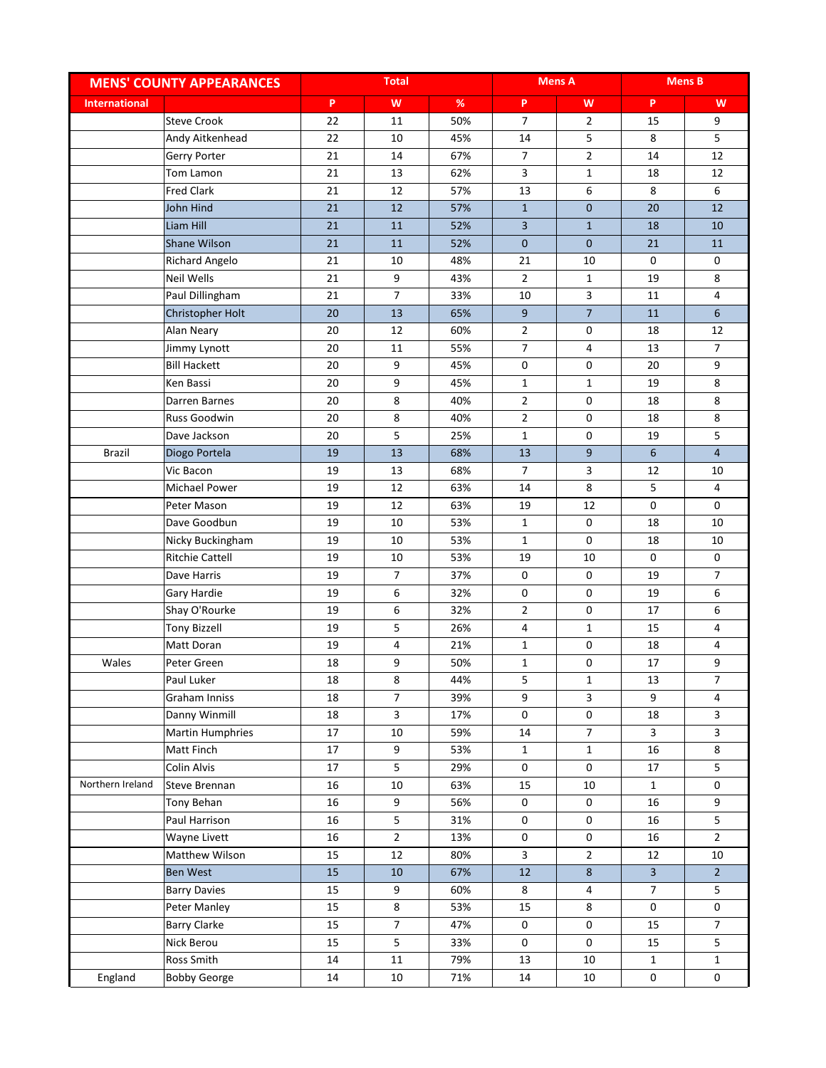|                      | <b>MENS' COUNTY APPEARANCES</b> |    | <b>Total</b>            |      |                     | <b>Mens A</b>       |                         | <b>Mens B</b>           |
|----------------------|---------------------------------|----|-------------------------|------|---------------------|---------------------|-------------------------|-------------------------|
| <b>International</b> |                                 | P. | W                       | $\%$ | P                   | W                   | P                       | W                       |
|                      | <b>Steve Crook</b>              | 22 | 11                      | 50%  | $\overline{7}$      | $\overline{2}$      | 15                      | 9                       |
|                      | Andy Aitkenhead                 | 22 | 10                      | 45%  | 14                  | 5                   | 8                       | 5                       |
|                      | Gerry Porter                    | 21 | 14                      | 67%  | $\overline{7}$      | $\overline{2}$      | 14                      | 12                      |
|                      | Tom Lamon                       | 21 | 13                      | 62%  | 3                   | $\mathbf 1$         | 18                      | 12                      |
|                      | <b>Fred Clark</b>               | 21 | 12                      | 57%  | 13                  | 6                   | 8                       | 6                       |
|                      | John Hind                       | 21 | 12                      | 57%  | $\mathbf{1}$        | $\mathbf 0$         | 20                      | 12                      |
|                      | Liam Hill                       | 21 | 11                      | 52%  | $\overline{3}$      | $\mathbf{1}$        | 18                      | 10                      |
|                      | <b>Shane Wilson</b>             | 21 | 11                      | 52%  | $\mathbf{0}$        | $\mathbf{0}$        | 21                      | 11                      |
|                      | <b>Richard Angelo</b>           | 21 | 10                      | 48%  | 21                  | 10                  | 0                       | 0                       |
|                      | Neil Wells                      | 21 | 9                       | 43%  | $\overline{2}$      | $\mathbf{1}$        | 19                      | 8                       |
|                      | Paul Dillingham                 | 21 | $\overline{7}$          | 33%  | 10                  | 3                   | 11                      | 4                       |
|                      | Christopher Holt                | 20 | 13                      | 65%  | 9                   | $\overline{7}$      | 11                      | 6                       |
|                      | Alan Neary                      | 20 | 12                      | 60%  | $\overline{2}$      | $\mathbf 0$         | 18                      | 12                      |
|                      | Jimmy Lynott                    | 20 | 11                      | 55%  | $\overline{7}$      | 4                   | 13                      | $\overline{7}$          |
|                      | <b>Bill Hackett</b>             | 20 | 9                       | 45%  | 0                   | 0                   | 20                      | 9                       |
|                      | Ken Bassi                       | 20 | 9                       | 45%  | $\mathbf{1}$        | $\mathbf 1$         | 19                      | 8                       |
|                      | Darren Barnes                   | 20 | 8                       | 40%  | $\overline{2}$      | 0                   | 18                      | 8                       |
|                      | Russ Goodwin                    | 20 | 8                       | 40%  | $\overline{2}$      | 0                   | 18                      | 8                       |
|                      | Dave Jackson                    | 20 | 5                       | 25%  | $\mathbf{1}$        | 0                   | 19                      | 5                       |
| <b>Brazil</b>        | Diogo Portela                   | 19 | 13                      | 68%  | 13                  | 9                   | 6                       | $\overline{4}$          |
|                      | Vic Bacon                       | 19 | 13                      | 68%  | 7                   | 3                   | 12                      | 10                      |
|                      | Michael Power                   | 19 | 12                      | 63%  | 14                  | 8                   | 5                       | 4                       |
|                      | Peter Mason                     | 19 | 12                      | 63%  | 19                  | 12                  | 0                       | 0                       |
|                      | Dave Goodbun                    | 19 | 10                      | 53%  | $\mathbf{1}$        | 0                   | 18                      | 10                      |
|                      | Nicky Buckingham                | 19 | 10                      | 53%  | $\mathbf{1}$        | $\mathbf 0$         | 18                      | 10                      |
|                      | <b>Ritchie Cattell</b>          | 19 | 10                      | 53%  | 19                  | 10                  | 0                       | 0                       |
|                      | Dave Harris                     | 19 | $\overline{7}$          | 37%  | 0                   | 0                   | 19                      | $\overline{7}$          |
|                      | Gary Hardie                     | 19 | 6                       | 32%  | 0                   | 0                   | 19                      | 6                       |
|                      | Shay O'Rourke                   | 19 | 6                       | 32%  | $\overline{2}$      | 0                   | 17                      | 6                       |
|                      | <b>Tony Bizzell</b>             | 19 | 5                       | 26%  | 4                   | $\mathbf 1$         | 15                      | 4                       |
|                      | Matt Doran                      | 19 | $\overline{4}$          | 21%  | $\mathbf{1}$        | $\mathsf{O}\xspace$ | 18                      | 4                       |
| Wales                | Peter Green                     | 18 | 9                       | 50%  | $\mathbf{1}$        | 0                   | 17                      | 9                       |
|                      | Paul Luker                      | 18 | 8                       | 44%  | 5                   | 1                   | 13                      | 7                       |
|                      | Graham Inniss                   | 18 | $\overline{7}$          | 39%  | 9                   | 3                   | 9                       | 4                       |
|                      | Danny Winmill                   | 18 | $\overline{\mathbf{3}}$ | 17%  | $\mathsf{O}\xspace$ | $\mathsf{O}\xspace$ | 18                      | $\overline{\mathbf{3}}$ |
|                      | <b>Martin Humphries</b>         | 17 | 10                      | 59%  | 14                  | $\overline{7}$      | 3                       | $\overline{\mathbf{3}}$ |
|                      | Matt Finch                      | 17 | 9                       | 53%  | $\mathbf{1}$        | $\mathbf{1}$        | 16                      | 8                       |
|                      | Colin Alvis                     | 17 | $5\phantom{.0}$         | 29%  | 0                   | $\mathsf{O}\xspace$ | 17                      | 5                       |
| Northern Ireland     | Steve Brennan                   | 16 | 10                      | 63%  | 15                  | 10                  | $\mathbf{1}$            | 0                       |
|                      | Tony Behan                      | 16 | 9                       | 56%  | 0                   | 0                   | 16                      | 9                       |
|                      | Paul Harrison                   | 16 | $5\phantom{.0}$         | 31%  | 0                   | $\mathsf{O}$        | 16                      | 5                       |
|                      | Wayne Livett                    | 16 | $\overline{2}$          | 13%  | 0                   | 0                   | 16                      | $\overline{2}$          |
|                      | Matthew Wilson                  | 15 | 12                      | 80%  | $\mathbf{3}$        | $\overline{2}$      | 12                      | 10                      |
|                      | Ben West                        | 15 | $10\,$                  | 67%  | 12                  | $\bf 8$             | $\overline{\mathbf{3}}$ | $\overline{2}$          |
|                      | <b>Barry Davies</b>             | 15 | 9                       | 60%  | 8                   | 4                   | $\overline{7}$          | 5                       |
|                      | Peter Manley                    | 15 | 8                       | 53%  | 15                  | 8                   | 0                       | 0                       |
|                      | <b>Barry Clarke</b>             | 15 | $\overline{7}$          | 47%  | 0                   | $\mathsf{O}\xspace$ | 15                      | $\overline{7}$          |
|                      | Nick Berou                      | 15 | 5                       | 33%  | 0                   | $\mathsf{O}\xspace$ | 15                      | 5                       |
|                      | Ross Smith                      | 14 | 11                      | 79%  | 13                  | 10                  | $\mathbf{1}$            | $\mathbf{1}$            |
| England              | <b>Bobby George</b>             | 14 | 10                      | 71%  | $14\,$              | 10                  | 0                       | 0                       |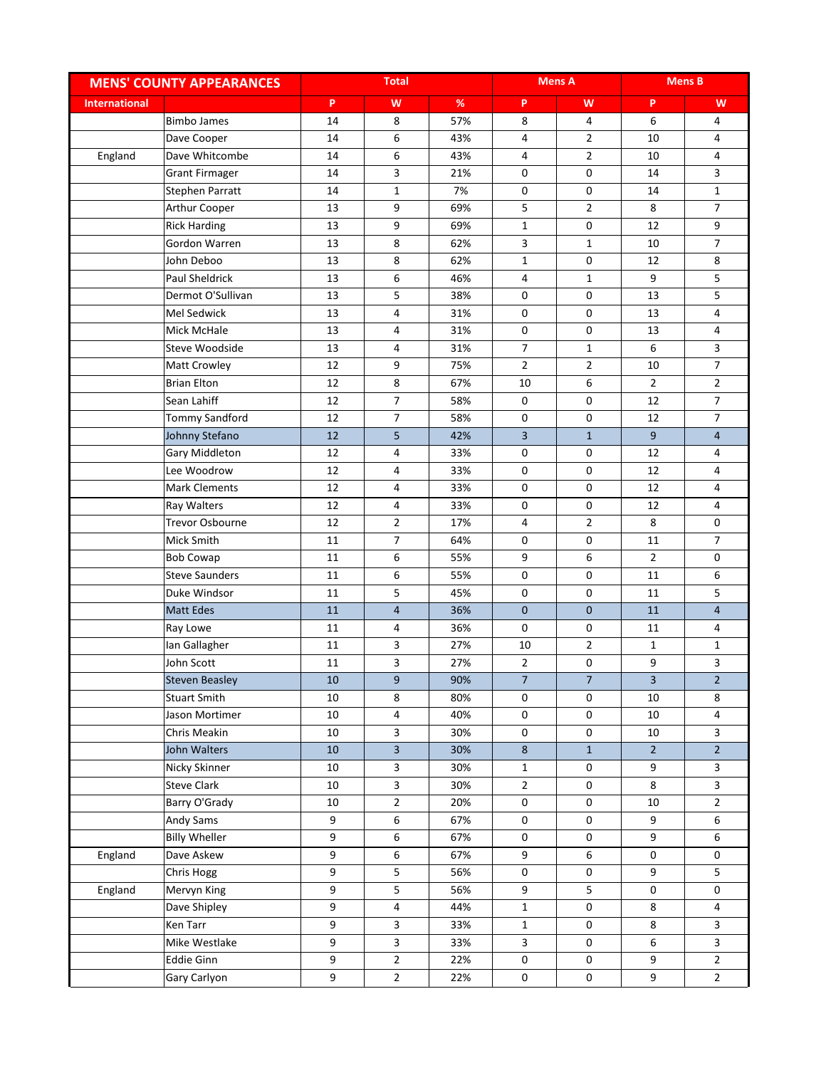|                      | <b>MENS' COUNTY APPEARANCES</b> |        | <b>Total</b>            |      |                | <b>Mens A</b>  |                | <b>Mens B</b>  |
|----------------------|---------------------------------|--------|-------------------------|------|----------------|----------------|----------------|----------------|
| <b>International</b> |                                 | P      | W                       | $\%$ | P              | W              | P              | W              |
|                      | <b>Bimbo James</b>              | 14     | 8                       | 57%  | 8              | 4              | 6              | 4              |
|                      | Dave Cooper                     | 14     | 6                       | 43%  | 4              | $\overline{2}$ | 10             | 4              |
| England              | Dave Whitcombe                  | 14     | 6                       | 43%  | 4              | $\overline{2}$ | 10             | 4              |
|                      | <b>Grant Firmager</b>           | 14     | 3                       | 21%  | 0              | 0              | 14             | 3              |
|                      | Stephen Parratt                 | 14     | $\mathbf{1}$            | 7%   | 0              | 0              | 14             | $\mathbf{1}$   |
|                      | Arthur Cooper                   | 13     | 9                       | 69%  | 5              | $\overline{2}$ | 8              | $\overline{7}$ |
|                      | <b>Rick Harding</b>             | 13     | 9                       | 69%  | $\mathbf{1}$   | 0              | 12             | 9              |
|                      | Gordon Warren                   | 13     | 8                       | 62%  | 3              | $\mathbf{1}$   | 10             | $\overline{7}$ |
|                      | John Deboo                      | 13     | 8                       | 62%  | $\mathbf{1}$   | 0              | 12             | 8              |
|                      | <b>Paul Sheldrick</b>           | 13     | 6                       | 46%  | 4              | $\mathbf{1}$   | 9              | 5              |
|                      | Dermot O'Sullivan               | 13     | 5                       | 38%  | 0              | 0              | 13             | 5              |
|                      | Mel Sedwick                     | 13     | $\overline{4}$          | 31%  | 0              | 0              | 13             | 4              |
|                      | Mick McHale                     | 13     | 4                       | 31%  | 0              | 0              | 13             | 4              |
|                      | Steve Woodside                  | 13     | 4                       | 31%  | $\overline{7}$ | $\mathbf{1}$   | 6              | 3              |
|                      | Matt Crowley                    | 12     | 9                       | 75%  | $\overline{2}$ | $\overline{2}$ | 10             | $\overline{7}$ |
|                      | <b>Brian Elton</b>              | 12     | 8                       | 67%  | 10             | 6              | $\overline{2}$ | $\overline{2}$ |
|                      | Sean Lahiff                     | 12     | $\overline{7}$          | 58%  | 0              | 0              | 12             | $\overline{7}$ |
|                      | <b>Tommy Sandford</b>           | 12     | $\overline{7}$          | 58%  | 0              | 0              | 12             | $\overline{7}$ |
|                      | Johnny Stefano                  | 12     | 5                       | 42%  | $\overline{3}$ | $\mathbf{1}$   | 9              | $\overline{4}$ |
|                      | Gary Middleton                  | 12     | 4                       | 33%  | 0              | 0              | 12             | 4              |
|                      | Lee Woodrow                     | 12     | $\overline{4}$          | 33%  | 0              | 0              | 12             | 4              |
|                      | <b>Mark Clements</b>            | 12     | $\overline{4}$          | 33%  | 0              | $\mathbf 0$    | 12             | 4              |
|                      | Ray Walters                     | 12     | 4                       | 33%  | 0              | 0              | 12             | 4              |
|                      | <b>Trevor Osbourne</b>          | 12     | $\overline{2}$          | 17%  | 4              | $\overline{2}$ | 8              | 0              |
|                      | Mick Smith                      | 11     | $\overline{7}$          | 64%  | 0              | 0              | 11             | $\overline{7}$ |
|                      | <b>Bob Cowap</b>                | 11     | 6                       | 55%  | 9              | 6              | $\overline{2}$ | 0              |
|                      | <b>Steve Saunders</b>           | 11     | 6                       | 55%  | 0              | 0              | 11             | 6              |
|                      | Duke Windsor                    | 11     | 5                       | 45%  | 0              | 0              | 11             | 5              |
|                      | <b>Matt Edes</b>                | 11     | $\overline{4}$          | 36%  | $\mathbf 0$    | $\overline{0}$ | 11             | $\overline{4}$ |
|                      | Ray Lowe                        | 11     | 4                       | 36%  | 0              | 0              | 11             | 4              |
|                      | Ian Gallagher                   | 11     | 3                       | 27%  | 10             | $\overline{2}$ | $\mathbf{1}$   | $\mathbf{1}$   |
|                      | John Scott                      | 11     | $\overline{\mathbf{3}}$ | 27%  | $\overline{2}$ | 0              | 9              | 3              |
|                      | <b>Steven Beasley</b>           | 10     | 9                       | 90%  | 7              | 7              | 3              | $\overline{2}$ |
|                      | <b>Stuart Smith</b>             | 10     | 8                       | 80%  | 0              | 0              | 10             | 8              |
|                      | Jason Mortimer                  | $10\,$ | $\overline{\mathbf{4}}$ | 40%  | $\pmb{0}$      | 0              | 10             | $\overline{4}$ |
|                      | Chris Meakin                    | 10     | $\overline{\mathbf{3}}$ | 30%  | $\pmb{0}$      | 0              | 10             | $\mathbf{3}$   |
|                      | John Walters                    | 10     | $\overline{\mathbf{3}}$ | 30%  | $\bf 8$        | $\mathbf{1}$   | $\overline{2}$ | $\overline{2}$ |
|                      | Nicky Skinner                   | 10     | $\mathbf{3}$            | 30%  | $\mathbf{1}$   | 0              | 9              | $\mathbf{3}$   |
|                      | <b>Steve Clark</b>              | 10     | $\mathbf{3}$            | 30%  | $\overline{2}$ | 0              | 8              | 3              |
|                      | Barry O'Grady                   | 10     | $\overline{2}$          | 20%  | 0              | 0              | 10             | $\overline{2}$ |
|                      | Andy Sams                       | 9      | $\boldsymbol{6}$        | 67%  | $\mathsf 0$    | 0              | 9              | 6              |
|                      | <b>Billy Wheller</b>            | 9      | $\sf 6$                 | 67%  | 0              | 0              | 9              | 6              |
| England              | Dave Askew                      | 9      | $\sf 6$                 | 67%  | 9              | 6              | 0              | 0              |
|                      | Chris Hogg                      | 9      | 5                       | 56%  | $\mathsf 0$    | 0              | 9              | 5              |
| England              | Mervyn King                     | 9      | 5                       | 56%  | 9              | 5              | 0              | 0              |
|                      | Dave Shipley                    | 9      | 4                       | 44%  | $\mathbf 1$    | 0              | 8              | 4              |
|                      | Ken Tarr                        | 9      | $\overline{\mathbf{3}}$ | 33%  | $\mathbf 1$    | 0              | 8              | $\mathbf{3}$   |
|                      | Mike Westlake                   | 9      | $\mathbf{3}$            | 33%  | $\mathbf{3}$   | 0              | 6              | $\mathbf{3}$   |
|                      | Eddie Ginn                      | 9      | $\overline{2}$          | 22%  | $\pmb{0}$      | 0              | 9              | $\overline{2}$ |
|                      | Gary Carlyon                    | 9      | $\overline{2}$          | 22%  | $\mathbf 0$    | 0              | 9              | $\overline{2}$ |
|                      |                                 |        |                         |      |                |                |                |                |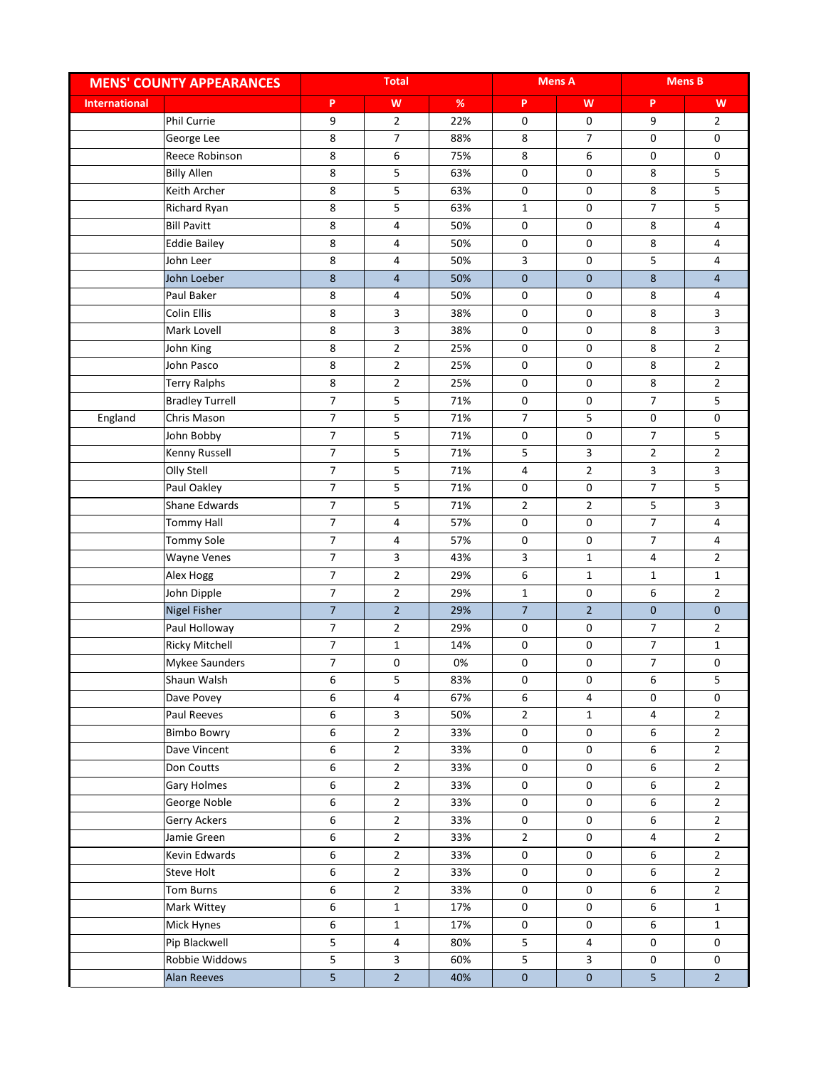|                      | <b>MENS' COUNTY APPEARANCES</b> |                | <b>Total</b>            |      |                     | <b>Mens A</b>           |                         | <b>Mens B</b>  |
|----------------------|---------------------------------|----------------|-------------------------|------|---------------------|-------------------------|-------------------------|----------------|
| <b>International</b> |                                 | P              | W                       | $\%$ | P                   | W                       | P                       | W              |
|                      | Phil Currie                     | 9              | $\overline{2}$          | 22%  | $\mathbf 0$         | 0                       | 9                       | $\overline{2}$ |
|                      | George Lee                      | 8              | $\overline{7}$          | 88%  | 8                   | 7                       | 0                       | 0              |
|                      | Reece Robinson                  | 8              | $\boldsymbol{6}$        | 75%  | $\,8\,$             | 6                       | 0                       | 0              |
|                      | <b>Billy Allen</b>              | 8              | 5                       | 63%  | 0                   | 0                       | 8                       | 5              |
|                      | Keith Archer                    | 8              | 5                       | 63%  | 0                   | 0                       | 8                       | 5              |
|                      | Richard Ryan                    | 8              | 5                       | 63%  | $\mathbf{1}$        | 0                       | 7                       | 5              |
|                      | <b>Bill Pavitt</b>              | 8              | $\overline{\mathbf{4}}$ | 50%  | $\mathsf 0$         | 0                       | 8                       | 4              |
|                      | <b>Eddie Bailey</b>             | 8              | 4                       | 50%  | $\mathbf 0$         | 0                       | 8                       | 4              |
|                      | John Leer                       | 8              | 4                       | 50%  | 3                   | 0                       | 5                       | 4              |
|                      | John Loeber                     | $\bf 8$        | $\overline{4}$          | 50%  | $\pmb{0}$           | 0                       | 8                       | 4              |
|                      | Paul Baker                      | 8              | 4                       | 50%  | 0                   | 0                       | 8                       | 4              |
|                      | Colin Ellis                     | 8              | 3                       | 38%  | 0                   | 0                       | 8                       | 3              |
|                      | Mark Lovell                     | 8              | 3                       | 38%  | $\pmb{0}$           | 0                       | 8                       | 3              |
|                      | John King                       | 8              | $\mathbf 2$             | 25%  | $\pmb{0}$           | 0                       | 8                       | $\overline{2}$ |
|                      | John Pasco                      | 8              | $\overline{2}$          | 25%  | 0                   | 0                       | 8                       | $\overline{2}$ |
|                      | <b>Terry Ralphs</b>             | 8              | $\overline{2}$          | 25%  | $\mathsf{O}\xspace$ | 0                       | 8                       | $\overline{2}$ |
|                      | <b>Bradley Turrell</b>          | $\overline{7}$ | 5                       | 71%  | 0                   | 0                       | $\overline{7}$          | 5              |
| England              | Chris Mason                     | $\overline{7}$ | 5                       | 71%  | $\overline{7}$      | 5                       | 0                       | 0              |
|                      | John Bobby                      | $\overline{7}$ | 5                       | 71%  | $\mathsf 0$         | 0                       | $\overline{7}$          | 5              |
|                      | Kenny Russell                   | $\overline{7}$ | 5                       | 71%  | 5                   | 3                       | $\overline{2}$          | $\overline{2}$ |
|                      | Olly Stell                      | $\overline{7}$ | 5                       | 71%  | $\overline{4}$      | $\overline{2}$          | 3                       | 3              |
|                      | Paul Oakley                     | $\overline{7}$ | 5                       | 71%  | $\mathbf 0$         | 0                       | $\overline{7}$          | 5              |
|                      | Shane Edwards                   | $\overline{7}$ | 5                       | 71%  | $\overline{2}$      | $\overline{2}$          | 5                       | 3              |
|                      | <b>Tommy Hall</b>               | $\overline{7}$ | 4                       | 57%  | 0                   | 0                       | 7                       | 4              |
|                      | <b>Tommy Sole</b>               | $\overline{7}$ | $\pmb{4}$               | 57%  | 0                   | 0                       | 7                       | 4              |
|                      | <b>Wayne Venes</b>              | $\overline{7}$ | 3                       | 43%  | 3                   | $\mathbf{1}$            | 4                       | $\overline{2}$ |
|                      | Alex Hogg                       | $\overline{7}$ | $\mathbf 2$             | 29%  | 6                   | $\mathbf{1}$            | $\mathbf{1}$            | $\mathbf 1$    |
|                      | John Dipple                     | $\overline{7}$ | $\overline{2}$          | 29%  | $\mathbf{1}$        | 0                       | 6                       | $\overline{2}$ |
|                      | <b>Nigel Fisher</b>             | $\overline{7}$ | $\overline{2}$          | 29%  | $\overline{7}$      | $\overline{2}$          | $\mathbf 0$             | $\mathbf 0$    |
|                      | Paul Holloway                   | $\overline{7}$ | $\overline{2}$          | 29%  | 0                   | 0                       | $\overline{7}$          | $\overline{2}$ |
|                      | <b>Ricky Mitchell</b>           | $\overline{7}$ | $\mathbf 1$             | 14%  | 0                   | 0                       | $\overline{7}$          | $\mathbf{1}$   |
|                      | Mykee Saunders                  | $\overline{7}$ | $\pmb{0}$               | 0%   | $\mathsf 0$         | 0                       | $\overline{7}$          | 0              |
|                      | Shaun Walsh                     | 6              | 5                       | 83%  | 0                   | 0                       | 6                       | 5              |
|                      | Dave Povey                      | 6              | 4                       | 67%  | $\sf 6$             | 4                       | 0                       | $\pmb{0}$      |
|                      | Paul Reeves                     | 6              | $\overline{\mathbf{3}}$ | 50%  | $\overline{2}$      | $\mathbf{1}$            | $\overline{\mathbf{4}}$ | $\overline{2}$ |
|                      | <b>Bimbo Bowry</b>              | 6              | $\overline{2}$          | 33%  | $\mathsf{O}\xspace$ | 0                       | 6                       | $\overline{2}$ |
|                      | Dave Vincent                    | 6              | $\overline{2}$          | 33%  | 0                   | 0                       | 6                       | $\overline{2}$ |
|                      | Don Coutts                      | 6              | $\overline{2}$          | 33%  | 0                   | 0                       | 6                       | $\overline{2}$ |
|                      | Gary Holmes                     | 6              | $\overline{2}$          | 33%  | 0                   | 0                       | 6                       | $\overline{2}$ |
|                      | George Noble                    | 6              | $\overline{2}$          | 33%  | 0                   | 0                       | 6                       | $\overline{2}$ |
|                      | Gerry Ackers                    | 6              | $\overline{2}$          | 33%  | 0                   | 0                       | 6                       | $\overline{2}$ |
|                      | Jamie Green                     | 6              | $\overline{2}$          | 33%  | $\overline{2}$      | 0                       | 4                       | $\overline{2}$ |
|                      | Kevin Edwards                   | 6              | $\overline{2}$          | 33%  | 0                   | 0                       | 6                       | $\overline{2}$ |
|                      | Steve Holt                      | 6              | $\overline{2}$          | 33%  | 0                   | 0                       | 6                       | $\overline{2}$ |
|                      | Tom Burns                       | 6              | $\overline{2}$          | 33%  | 0                   | 0                       | 6                       | $\overline{2}$ |
|                      | Mark Wittey                     | 6              | $\mathbf{1}$            | 17%  | 0                   | 0                       | 6                       | $\mathbf{1}$   |
|                      | Mick Hynes                      | 6              | $\mathbf 1$             | 17%  | $\mathsf{O}$        | 0                       | 6                       | $\mathbf{1}$   |
|                      | Pip Blackwell                   | 5              | 4                       | 80%  | 5                   | 4                       | 0                       | 0              |
|                      | Robbie Widdows                  | 5              | $\overline{\mathbf{3}}$ | 60%  | $5\phantom{.0}$     | $\overline{\mathbf{3}}$ | 0                       | 0              |
|                      | <b>Alan Reeves</b>              | $\overline{5}$ | 2 <sup>1</sup>          | 40%  | $\pmb{0}$           | $\mathbf 0$             | 5                       | $\overline{2}$ |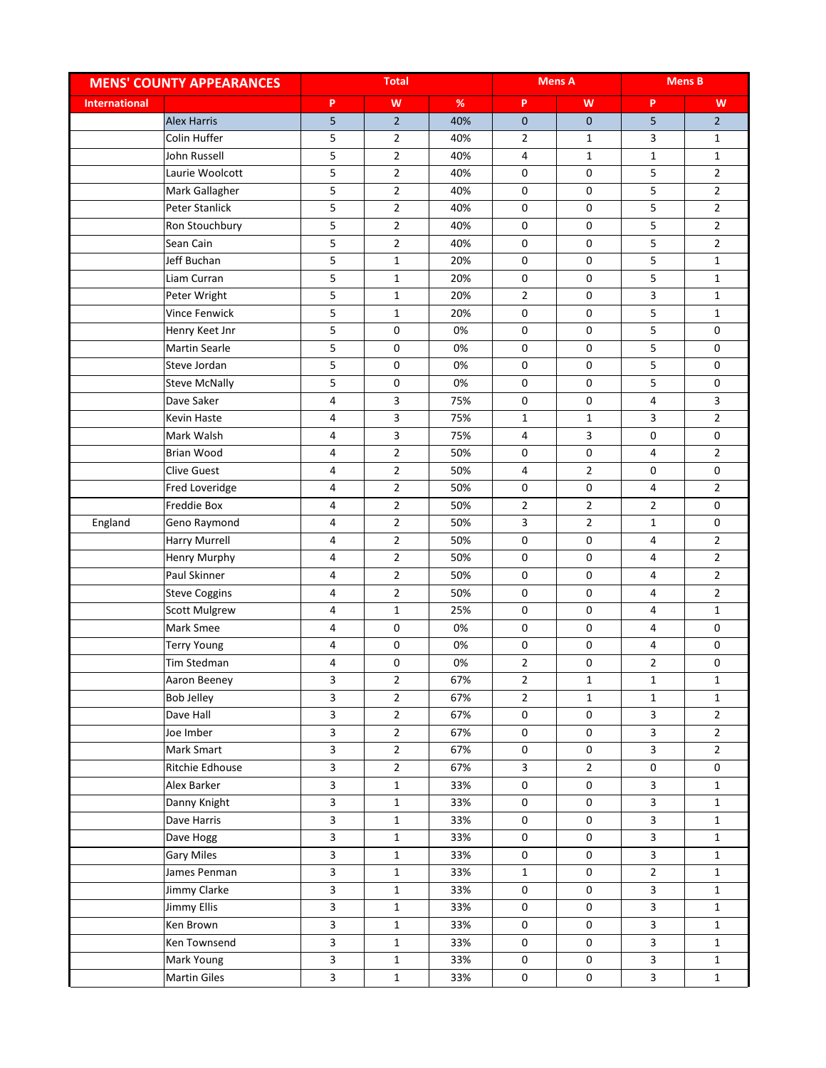|                      | <b>MENS' COUNTY APPEARANCES</b> |                         | <b>Total</b>            |      |                     | <b>Mens A</b>  |                         | <b>Mens B</b>  |
|----------------------|---------------------------------|-------------------------|-------------------------|------|---------------------|----------------|-------------------------|----------------|
| <b>International</b> |                                 | P                       | W                       | $\%$ | P                   | W              | P                       | W              |
|                      | <b>Alex Harris</b>              | 5                       | $\overline{2}$          | 40%  | $\mathbf 0$         | $\mathbf 0$    | 5                       | $2^{\circ}$    |
|                      | Colin Huffer                    | 5                       | $\overline{2}$          | 40%  | $\overline{2}$      | $\mathbf{1}$   | 3                       | $\mathbf{1}$   |
|                      | John Russell                    | 5                       | $\overline{2}$          | 40%  | 4                   | $\mathbf{1}$   | $\mathbf{1}$            | $\mathbf 1$    |
|                      | Laurie Woolcott                 | 5                       | $\overline{2}$          | 40%  | 0                   | 0              | 5                       | $\overline{2}$ |
|                      | Mark Gallagher                  | 5                       | $\overline{2}$          | 40%  | 0                   | 0              | 5                       | $\overline{2}$ |
|                      | <b>Peter Stanlick</b>           | 5                       | $\overline{2}$          | 40%  | 0                   | 0              | 5                       | $\overline{2}$ |
|                      | Ron Stouchbury                  | 5                       | $\overline{2}$          | 40%  | 0                   | 0              | 5                       | $\overline{2}$ |
|                      | Sean Cain                       | 5                       | $\overline{2}$          | 40%  | 0                   | 0              | 5                       | $\overline{2}$ |
|                      | Jeff Buchan                     | 5                       | $\mathbf{1}$            | 20%  | 0                   | 0              | 5                       | $\mathbf{1}$   |
|                      | Liam Curran                     | 5                       | $\mathbf{1}$            | 20%  | 0                   | 0              | 5                       | $\mathbf{1}$   |
|                      | Peter Wright                    | 5                       | $\mathbf{1}$            | 20%  | $\overline{2}$      | 0              | 3                       | $\mathbf{1}$   |
|                      | Vince Fenwick                   | 5                       | $\mathbf{1}$            | 20%  | 0                   | 0              | 5                       | $\mathbf{1}$   |
|                      | Henry Keet Jnr                  | 5                       | $\mathsf 0$             | 0%   | 0                   | 0              | 5                       | $\pmb{0}$      |
|                      | <b>Martin Searle</b>            | 5                       | 0                       | 0%   | 0                   | 0              | 5                       | 0              |
|                      | Steve Jordan                    | 5                       | 0                       | 0%   | 0                   | 0              | 5                       | 0              |
|                      | <b>Steve McNally</b>            | 5                       | 0                       | 0%   | 0                   | 0              | 5                       | $\pmb{0}$      |
|                      | Dave Saker                      | 4                       | $\mathbf{3}$            | 75%  | 0                   | 0              | 4                       | 3              |
|                      | Kevin Haste                     | 4                       | $\overline{\mathbf{3}}$ | 75%  | $\mathbf 1$         | $\mathbf{1}$   | 3                       | $\overline{2}$ |
|                      | Mark Walsh                      | 4                       | $\mathbf{3}$            | 75%  | 4                   | 3              | 0                       | 0              |
|                      | Brian Wood                      | 4                       | $\overline{2}$          | 50%  | 0                   | 0              | 4                       | $\overline{2}$ |
|                      | <b>Clive Guest</b>              | 4                       | $\overline{2}$          | 50%  | 4                   | $\overline{2}$ | 0                       | 0              |
|                      | Fred Loveridge                  | 4                       | $\overline{2}$          | 50%  | $\mathbf 0$         | 0              | 4                       | $\overline{2}$ |
|                      | Freddie Box                     | 4                       | $\overline{2}$          | 50%  | $\overline{2}$      | $\overline{2}$ | $\overline{2}$          | 0              |
| England              | Geno Raymond                    | 4                       | $\overline{2}$          | 50%  | 3                   | $\overline{2}$ | $\mathbf{1}$            | 0              |
|                      | Harry Murrell                   | 4                       | $\overline{2}$          | 50%  | 0                   | 0              | 4                       | $\overline{2}$ |
|                      | Henry Murphy                    | 4                       | $\overline{2}$          | 50%  | 0                   | 0              | 4                       | $\overline{2}$ |
|                      | Paul Skinner                    | 4                       | $\overline{2}$          | 50%  | 0                   | 0              | 4                       | $\mathbf 2$    |
|                      | <b>Steve Coggins</b>            | 4                       | $\overline{2}$          | 50%  | 0                   | 0              | 4                       | $\overline{2}$ |
|                      | <b>Scott Mulgrew</b>            | 4                       | $\mathbf{1}$            | 25%  | 0                   | 0              | 4                       | $\mathbf{1}$   |
|                      | <b>Mark Smee</b>                | 4                       | $\mathsf 0$             | 0%   | 0                   | 0              | 4                       | 0              |
|                      | <b>Terry Young</b>              | 4                       | 0                       | 0%   | $\pmb{0}$           | 0              | 4                       | 0              |
|                      | Tim Stedman                     | 4                       | 0                       | 0%   | $\overline{2}$      | 0              | $\overline{2}$          | 0              |
|                      | Aaron Beeney                    | 3                       | $\overline{2}$          | 67%  | 2                   | 1              | 1                       | 1              |
|                      | <b>Bob Jelley</b>               | $\overline{3}$          | $\overline{2}$          | 67%  | $\overline{2}$      | $\mathbf 1$    | $\mathbf 1$             | $\mathbf{1}$   |
|                      | Dave Hall                       | $\overline{\mathbf{3}}$ | $\overline{2}$          | 67%  | $\pmb{0}$           | $\pmb{0}$      | $\overline{\mathbf{3}}$ | $\overline{2}$ |
|                      | Joe Imber                       | $\overline{\mathbf{3}}$ | $\overline{2}$          | 67%  | $\mathsf{O}\xspace$ | 0              | $\mathsf{3}$            | $\overline{2}$ |
|                      | Mark Smart                      | $\mathbf{3}$            | $\overline{2}$          | 67%  | $\mathsf 0$         | 0              | $\mathsf{3}$            | $2^{\circ}$    |
|                      | Ritchie Edhouse                 | $\overline{\mathbf{3}}$ | $\overline{2}$          | 67%  | 3                   | $\overline{2}$ | 0                       | 0              |
|                      | Alex Barker                     | $\mathbf{3}$            | $\mathbf{1}$            | 33%  | 0                   | 0              | 3                       | $\mathbf{1}$   |
|                      | Danny Knight                    | 3                       | $\mathbf{1}$            | 33%  | 0                   | 0              | $\mathbf{3}$            | $\mathbf{1}$   |
|                      | Dave Harris                     | $\overline{\mathbf{3}}$ | $\mathbf{1}$            | 33%  | $\mathsf 0$         | 0              | $\mathsf{3}$            | $\mathbf 1$    |
|                      | Dave Hogg                       | $\overline{3}$          | $\mathbf{1}$            | 33%  | $\mathbf 0$         | 0              | 3                       | $\mathbf{1}$   |
|                      | <b>Gary Miles</b>               | $\mathbf{3}$            | $\mathbf{1}$            | 33%  | $\mathsf 0$         | 0              | $\mathsf{3}$            | $\mathbf{1}$   |
|                      | James Penman                    | $\mathbf{3}$            | $\mathbf{1}$            | 33%  | $\mathbf{1}$        | $\mathbf 0$    | $\overline{2}$          | $\mathbf{1}$   |
|                      | Jimmy Clarke                    | $\overline{\mathbf{3}}$ | $\mathbf{1}$            | 33%  | $\mathsf 0$         | 0              | $\mathbf{3}$            | $\mathbf{1}$   |
|                      | Jimmy Ellis                     | $\mathbf{3}$            | $\mathbf{1}$            | 33%  | 0                   | 0              | $\mathsf{3}$            | $\mathbf{1}$   |
|                      | Ken Brown                       | $\mathbf{3}$            | $\mathbf{1}$            | 33%  | $\mathsf 0$         | 0              | $\mathsf{3}$            | $\mathbf{1}$   |
|                      | Ken Townsend                    | $\mathbf{3}$            | $\mathbf{1}$            | 33%  | $\mathbf 0$         | 0              | $\mathbf{3}$            | $\mathbf{1}$   |
|                      | Mark Young                      | $\overline{\mathbf{3}}$ | $\mathbf 1$             | 33%  | $\mathsf 0$         | 0              | $\mathsf{3}$            | $\mathbf 1$    |
|                      | <b>Martin Giles</b>             | $\overline{\mathbf{3}}$ | $\mathbf 1$             | 33%  | $\mathbf 0$         | 0              | $\overline{\mathbf{3}}$ | $\mathbf{1}$   |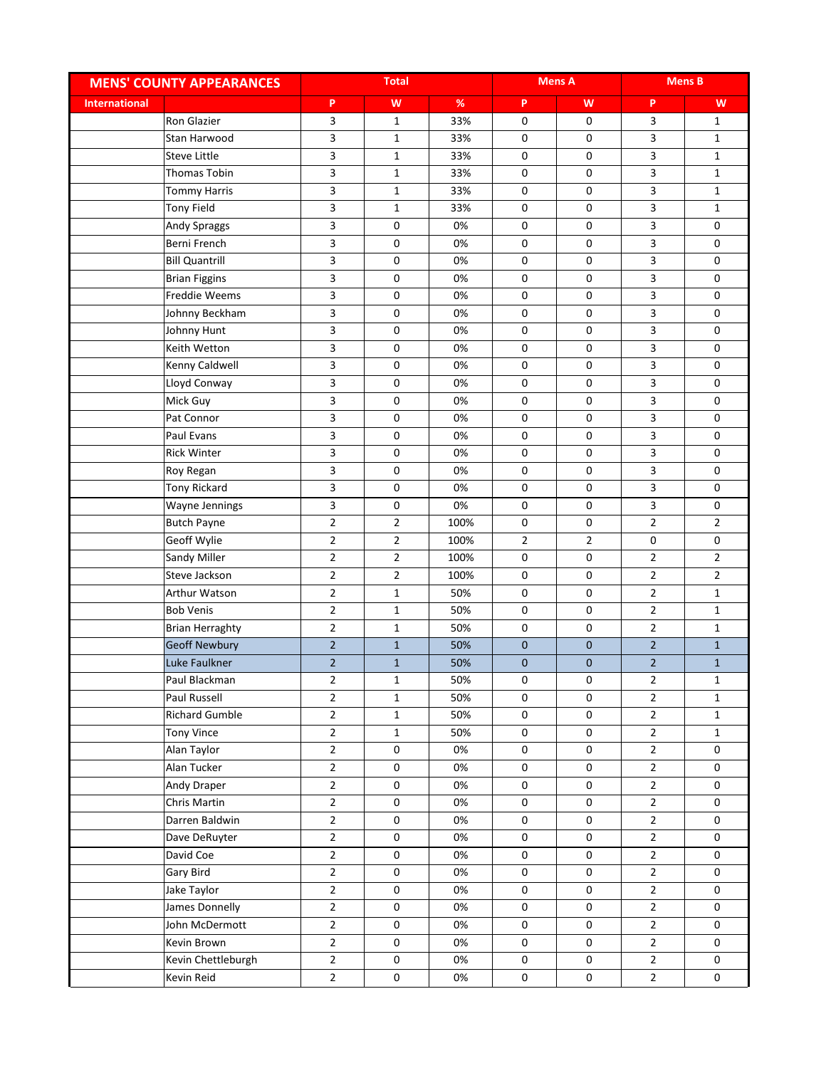|                      | <b>MENS' COUNTY APPEARANCES</b> |                | <b>Total</b>        |      |                     | <b>Mens A</b>  |                | <b>Mens B</b>  |
|----------------------|---------------------------------|----------------|---------------------|------|---------------------|----------------|----------------|----------------|
| <b>International</b> |                                 | P              | W                   | $\%$ | P                   | W              | P              | W              |
|                      | <b>Ron Glazier</b>              | 3              | $\mathbf{1}$        | 33%  | 0                   | 0              | 3              | $\mathbf{1}$   |
|                      | Stan Harwood                    | 3              | $\mathbf{1}$        | 33%  | 0                   | 0              | 3              | $\mathbf{1}$   |
|                      | <b>Steve Little</b>             | 3              | $\mathbf{1}$        | 33%  | 0                   | 0              | 3              | $\mathbf 1$    |
|                      | Thomas Tobin                    | 3              | $\mathbf{1}$        | 33%  | 0                   | 0              | 3              | $\mathbf{1}$   |
|                      | <b>Tommy Harris</b>             | 3              | $1\,$               | 33%  | 0                   | 0              | 3              | $\mathbf{1}$   |
|                      | <b>Tony Field</b>               | 3              | $\mathbf{1}$        | 33%  | 0                   | 0              | 3              | $\mathbf{1}$   |
|                      | Andy Spraggs                    | 3              | 0                   | 0%   | 0                   | 0              | 3              | 0              |
|                      | Berni French                    | 3              | 0                   | 0%   | 0                   | 0              | 3              | 0              |
|                      | <b>Bill Quantrill</b>           | 3              | 0                   | 0%   | 0                   | 0              | 3              | 0              |
|                      | <b>Brian Figgins</b>            | 3              | 0                   | 0%   | 0                   | 0              | 3              | 0              |
|                      | Freddie Weems                   | 3              | 0                   | 0%   | 0                   | 0              | 3              | 0              |
|                      | Johnny Beckham                  | 3              | 0                   | 0%   | 0                   | 0              | 3              | 0              |
|                      | Johnny Hunt                     | 3              | $\mathsf 0$         | 0%   | $\pmb{0}$           | 0              | 3              | $\pmb{0}$      |
|                      | Keith Wetton                    | 3              | 0                   | 0%   | 0                   | 0              | 3              | 0              |
|                      | Kenny Caldwell                  | 3              | 0                   | 0%   | 0                   | 0              | 3              | 0              |
|                      | Lloyd Conway                    | 3              | 0                   | 0%   | 0                   | 0              | 3              | $\pmb{0}$      |
|                      | Mick Guy                        | 3              | $\mathsf 0$         | 0%   | $\pmb{0}$           | 0              | 3              | 0              |
|                      | Pat Connor                      | 3              | 0                   | 0%   | 0                   | 0              | 3              | 0              |
|                      | Paul Evans                      | 3              | 0                   | 0%   | 0                   | 0              | 3              | 0              |
|                      | <b>Rick Winter</b>              | 3              | 0                   | 0%   | 0                   | 0              | 3              | 0              |
|                      | Roy Regan                       | 3              | 0                   | 0%   | 0                   | 0              | 3              | 0              |
|                      | <b>Tony Rickard</b>             | 3              | 0                   | 0%   | 0                   | 0              | 3              | $\pmb{0}$      |
|                      | Wayne Jennings                  | 3              | 0                   | 0%   | 0                   | 0              | 3              | 0              |
|                      | <b>Butch Payne</b>              | $\overline{2}$ | $\overline{2}$      | 100% | 0                   | 0              | $\overline{2}$ | $\overline{2}$ |
|                      | Geoff Wylie                     | $\overline{2}$ | $\overline{2}$      | 100% | $\overline{2}$      | $\overline{2}$ | 0              | 0              |
|                      | Sandy Miller                    | $\overline{2}$ | $\overline{2}$      | 100% | $\pmb{0}$           | 0              | $\overline{2}$ | $\overline{2}$ |
|                      | Steve Jackson                   | $\mathbf{2}$   | $\overline{2}$      | 100% | 0                   | 0              | $\mathbf{2}$   | $\mathbf 2$    |
|                      | Arthur Watson                   | $\overline{2}$ | $\mathbf{1}$        | 50%  | 0                   | 0              | $\overline{2}$ | $\mathbf 1$    |
|                      | <b>Bob Venis</b>                | $\mathbf{2}$   | $\mathbf{1}$        | 50%  | 0                   | 0              | $\mathbf{2}$   | $\mathbf{1}$   |
|                      | <b>Brian Herraghty</b>          | $\overline{2}$ | $\mathbf{1}$        | 50%  | 0                   | 0              | $\overline{2}$ | $\mathbf{1}$   |
|                      | <b>Geoff Newbury</b>            | $\overline{2}$ | $\mathbf{1}$        | 50%  | $\pmb{0}$           | 0              | $\overline{2}$ | $\mathbf{1}$   |
|                      | Luke Faulkner                   | $2^{\circ}$    | $1\,$               | 50%  | $\pmb{0}$           | $\mathbf 0$    | $\overline{2}$ | $\mathbf 1$    |
|                      | Paul Blackman                   | 2              | 1                   | 50%  | 0                   | 0              | 2              | 1              |
|                      | Paul Russell                    | $\overline{2}$ | $\mathbf{1}$        | 50%  | 0                   | 0              | $\overline{2}$ | $\mathbf{1}$   |
|                      | <b>Richard Gumble</b>           | $\overline{2}$ | $\mathbf 1$         | 50%  | $\pmb{0}$           | $\pmb{0}$      | $\overline{2}$ | $\mathbf 1$    |
|                      | <b>Tony Vince</b>               | $\overline{2}$ | $\mathbf{1}$        | 50%  | $\pmb{0}$           | 0              | $\overline{2}$ | $\mathbf{1}$   |
|                      | Alan Taylor                     | $\overline{2}$ | 0                   | 0%   | $\mathsf 0$         | 0              | $\overline{2}$ | 0              |
|                      | Alan Tucker                     | $\overline{2}$ | 0                   | 0%   | $\mathsf 0$         | 0              | $\overline{2}$ | $\pmb{0}$      |
|                      | Andy Draper                     | $\overline{2}$ | 0                   | 0%   | 0                   | 0              | $\overline{2}$ | 0              |
|                      | Chris Martin                    | $\overline{2}$ | 0                   | 0%   | 0                   | 0              | $\overline{2}$ | 0              |
|                      | Darren Baldwin                  | $\overline{2}$ | $\mathsf{O}\xspace$ | 0%   | $\mathsf 0$         | 0              | $\overline{2}$ | 0              |
|                      | Dave DeRuyter                   | $\overline{2}$ | $\mathsf{O}\xspace$ | 0%   | $\mathsf{O}\xspace$ | 0              | $\overline{2}$ | 0              |
|                      | David Coe                       | $\overline{2}$ | 0                   | 0%   | $\mathsf 0$         | 0              | $\overline{2}$ | 0              |
|                      | Gary Bird                       | $\overline{2}$ | 0                   | 0%   | $\mathsf 0$         | 0              | $\overline{2}$ | $\pmb{0}$      |
|                      | Jake Taylor                     | $\overline{2}$ | 0                   | 0%   | $\mathsf 0$         | $\mathsf 0$    | $\overline{2}$ | 0              |
|                      | James Donnelly                  | $\overline{2}$ | 0                   | 0%   | 0                   | 0              | $\overline{2}$ | 0              |
|                      | John McDermott                  | $\overline{2}$ | 0                   | 0%   | $\mathbf 0$         | 0              | $\overline{2}$ | $\pmb{0}$      |
|                      | Kevin Brown                     | $\overline{2}$ | 0                   | 0%   | $\mathsf 0$         | 0              | $\overline{2}$ | 0              |
|                      | Kevin Chettleburgh              | $\overline{2}$ | $\pmb{0}$           | 0%   | $\pmb{0}$           | $\mathsf 0$    | $\overline{2}$ | $\pmb{0}$      |
|                      | Kevin Reid                      | $\overline{2}$ | 0                   | 0%   | $\mathbf 0$         | $\pmb{0}$      | $\overline{2}$ | $\pmb{0}$      |